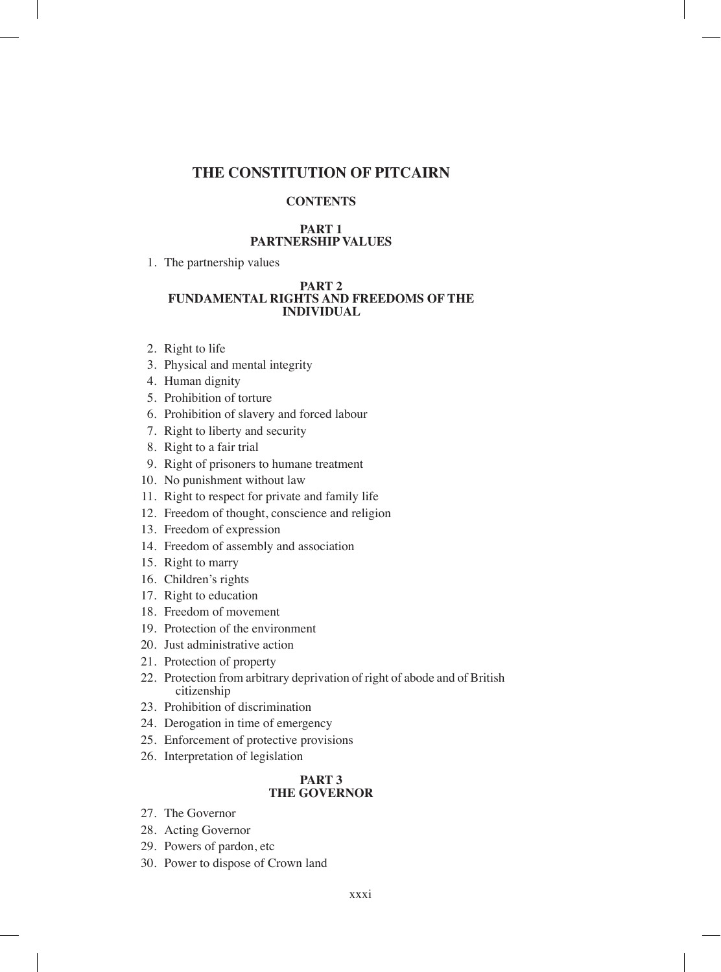## **THE CONSTITUTION OF PITCAIRN**

### **CONTENTS**

### **PART 1 PARTNERSHIP VALUES**

1. The partnership values

### **PART 2 FUNDAMENTAL RIGHTS AND FREEDOMS OF THE INDIVIDUAL**

- 2. Right to life
- 3. Physical and mental integrity
- 4. Human dignity
- 5. Prohibition of torture
- 6. Prohibition of slavery and forced labour
- 7. Right to liberty and security
- 8. Right to a fair trial
- 9. Right of prisoners to humane treatment
- 10. No punishment without law
- 11. Right to respect for private and family life
- 12. Freedom of thought, conscience and religion
- 13. Freedom of expression
- 14. Freedom of assembly and association
- 15. Right to marry
- 16. Children's rights
- 17. Right to education
- 18. Freedom of movement
- 19. Protection of the environment
- 20. Just administrative action
- 21. Protection of property
- 22. Protection from arbitrary deprivation of right of abode and of British citizenship
- 23. Prohibition of discrimination
- 24. Derogation in time of emergency
- 25. Enforcement of protective provisions
- 26. Interpretation of legislation

### **PART 3 THE GOVERNOR**

- 27. The Governor
- 28. Acting Governor
- 29. Powers of pardon, etc
- 30. Power to dispose of Crown land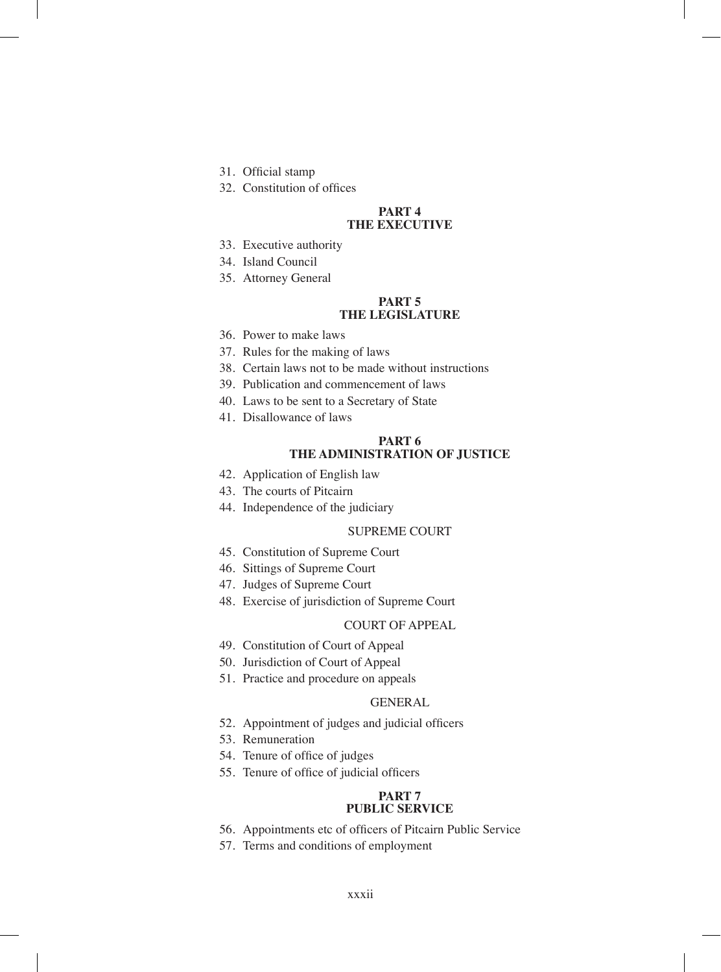- 31. Official stamp
- 32. Constitution of offices

#### **PART 4 THE EXECUTIVE**

- 33. Executive authority
- 34. Island Council
- 35. Attorney General

### **PART 5 THE LEGISLATURE**

- 36. Power to make laws
- 37. Rules for the making of laws
- 38. Certain laws not to be made without instructions
- 39. Publication and commencement of laws
- 40. Laws to be sent to a Secretary of State
- 41. Disallowance of laws

### **PART 6 THE ADMINISTRATION OF JUSTICE**

- 42. Application of English law
- 43. The courts of Pitcairn
- 44. Independence of the judiciary

### SUPREME COURT

- 45. Constitution of Supreme Court
- 46. Sittings of Supreme Court
- 47. Judges of Supreme Court
- 48. Exercise of jurisdiction of Supreme Court

#### COURT OF APPEAL

- 49. Constitution of Court of Appeal
- 50. Jurisdiction of Court of Appeal
- 51. Practice and procedure on appeals

### GENERAL

- 52. Appointment of judges and judicial offcers
- 53. Remuneration
- 54. Tenure of office of judges
- 55. Tenure of office of judicial officers

### **PART 7 PUBLIC SERVICE**

- 56. Appointments etc of offcers of Pitcairn Public Service
- 57. Terms and conditions of employment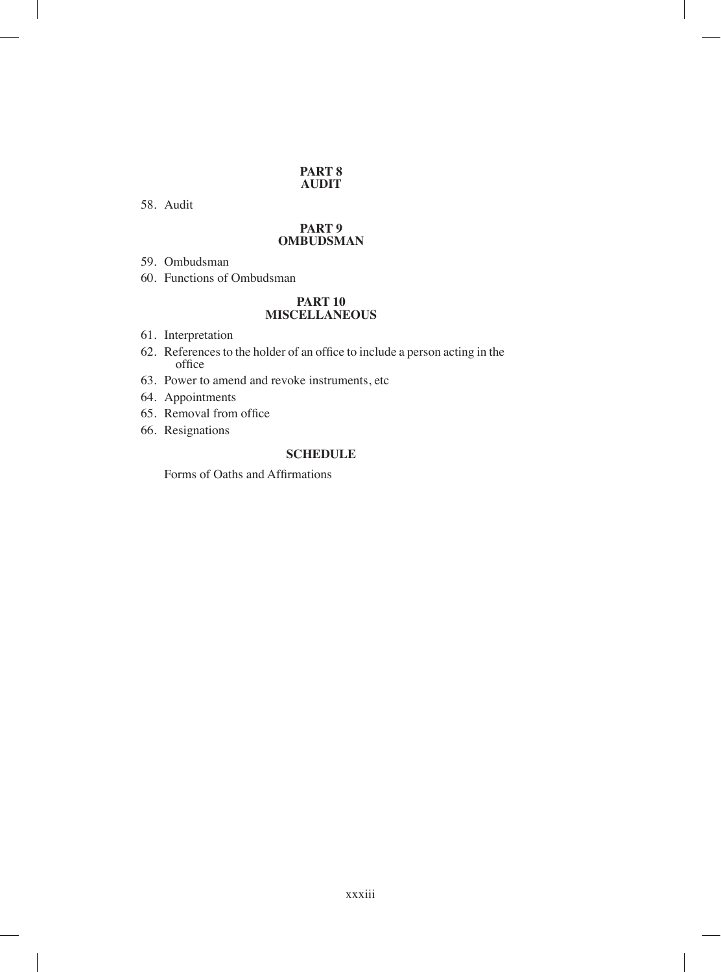# **PART 8**

# **AUDIT**

58. Audit

### **PART 9 OMBUDSMAN**

59. Ombudsman

60. Functions of Ombudsman

## **PART 10 MISCELLANEOUS**

61. Interpretation

- 62. References to the holder of an offce to include a person acting in the office
- 63. Power to amend and revoke instruments, etc

64. Appointments

- 65. Removal from office
- 66. Resignations

## **SCHEDULE**

Forms of Oaths and Affrmations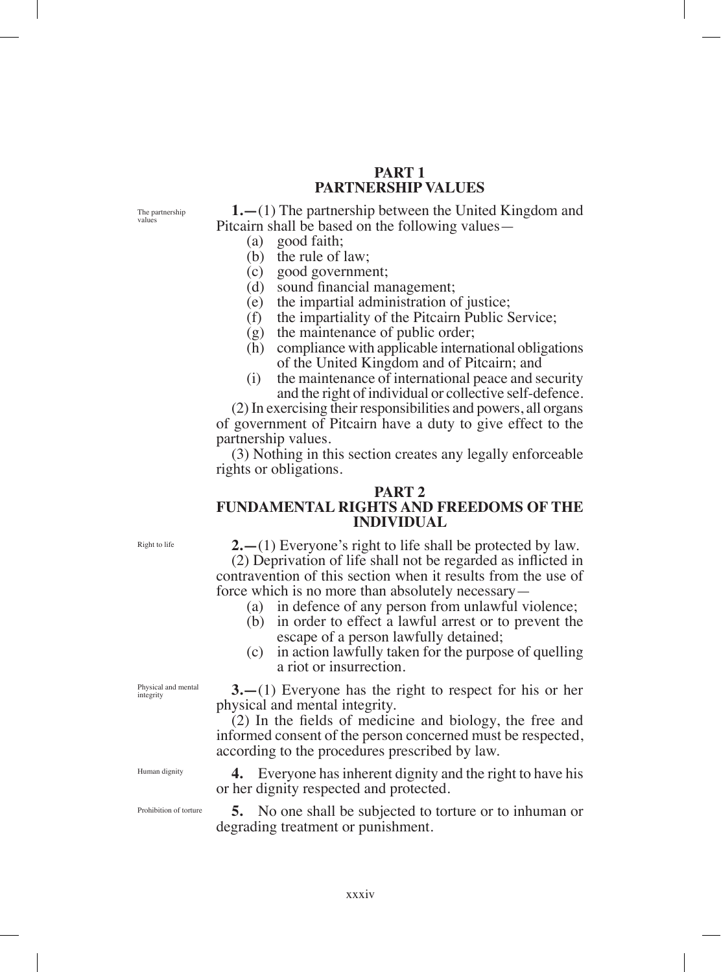# **PART 1 PARTNERSHIP VALUES**

The partnership values

**1.—**(1) The partnership between the United Kingdom and Pitcairn shall be based on the following values—

- (a) good faith;
- (b) the rule of law;
- (c) good government;
- (d) sound financial management;<br>(e) the impartial administration of
- (e) the impartial administration of justice;<br>(f) the impartiality of the Pitcairn Public S
- the impartiality of the Pitcairn Public Service:
- 
- (g) the maintenance of public order;<br>(h) compliance with applicable interna compliance with applicable international obligations of the United Kingdom and of Pitcairn; and
- (i) the maintenance of international peace and security and the right of individual or collective self-defence.

(2) In exercising their responsibilities and powers, all organs of government of Pitcairn have a duty to give effect to the partnership values.

(3) Nothing in this section creates any legally enforceable rights or obligations.

## **PART 2**

# **FUNDAMENTAL RIGHTS AND FREEDOMS OF THE INDIVIDUAL**

Right to life

**2.—**(1) Everyone's right to life shall be protected by law.

(2) Deprivation of life shall not be regarded as inficted in contravention of this section when it results from the use of force which is no more than absolutely necessary—

- (a) in defence of any person from unlawful violence;
- (b) in order to effect a lawful arrest or to prevent the escape of a person lawfully detained;
- (c) in action lawfully taken for the purpose of quelling a riot or insurrection.

**3.—**(1) Everyone has the right to respect for his or her physical and mental integrity.

(2) In the felds of medicine and biology, the free and informed consent of the person concerned must be respected, according to the procedures prescribed by law.

Human dignity

Physical and mental integrity

Prohibition of torture

**4.** Everyone has inherent dignity and the right to have his or her dignity respected and protected.

**5.** No one shall be subjected to torture or to inhuman or degrading treatment or punishment.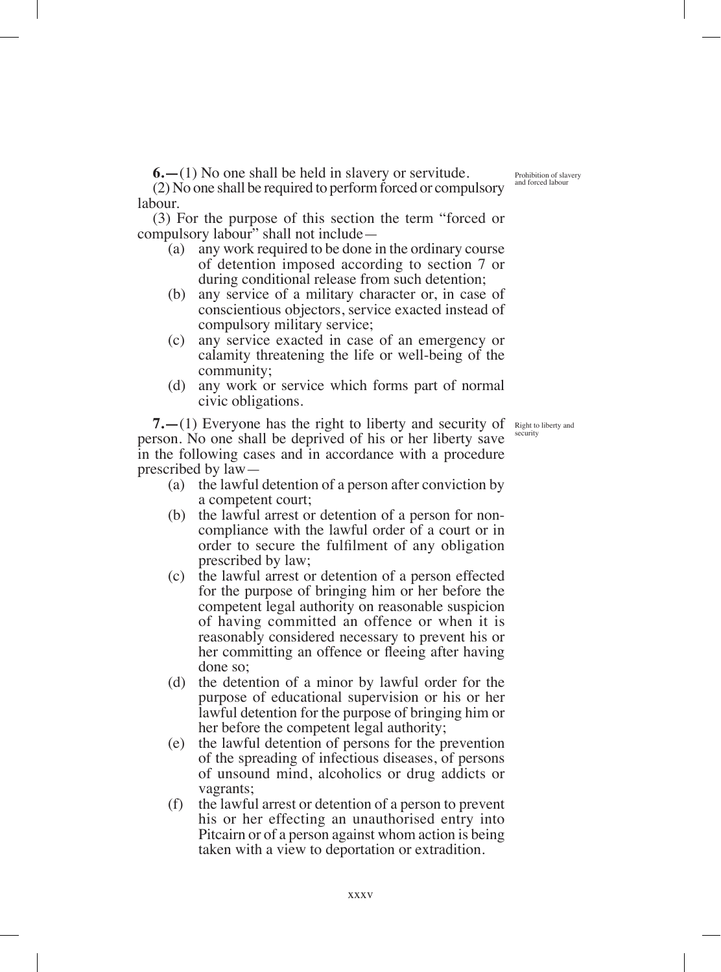**6.—**(1) No one shall be held in slavery or servitude.

(2) No one shall be required to perform forced or compulsory labour.

(3) For the purpose of this section the term "forced or compulsory labour" shall not include—

- (a) any work required to be done in the ordinary course of detention imposed according to section 7 or during conditional release from such detention;
- (b) any service of a military character or, in case of conscientious objectors, service exacted instead of compulsory military service;
- (c) any service exacted in case of an emergency or calamity threatening the life or well-being of the community;
- (d) any work or service which forms part of normal civic obligations.

security

**7.**—(1) Everyone has the right to liberty and security of  $R_{light\ to\ library\ and}$ person. No one shall be deprived of his or her liberty save in the following cases and in accordance with a procedure prescribed by law—

- (a) the lawful detention of a person after conviction by a competent court;
- (b) the lawful arrest or detention of a person for noncompliance with the lawful order of a court or in order to secure the fulflment of any obligation prescribed by law;
- (c) the lawful arrest or detention of a person effected for the purpose of bringing him or her before the competent legal authority on reasonable suspicion of having committed an offence or when it is reasonably considered necessary to prevent his or her committing an offence or feeing after having done so;
- (d) the detention of a minor by lawful order for the purpose of educational supervision or his or her lawful detention for the purpose of bringing him or her before the competent legal authority;
- (e) the lawful detention of persons for the prevention of the spreading of infectious diseases, of persons of unsound mind, alcoholics or drug addicts or vagrants;
- (f) the lawful arrest or detention of a person to prevent his or her effecting an unauthorised entry into Pitcairn or of a person against whom action is being taken with a view to deportation or extradition.

Prohibition of slavery and forced labour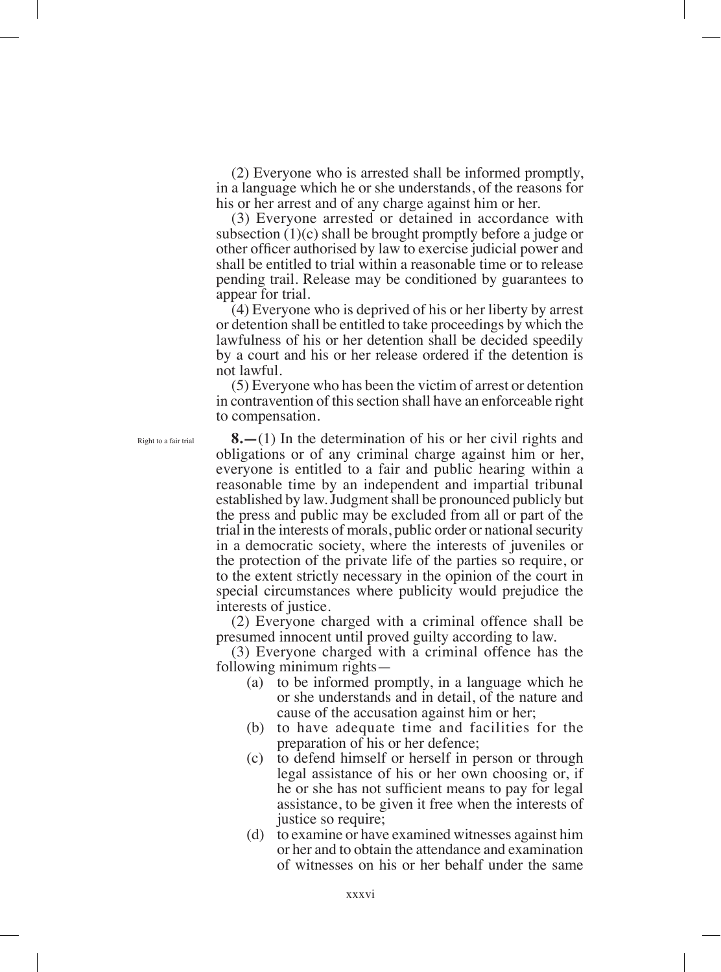(2) Everyone who is arrested shall be informed promptly, in a language which he or she understands, of the reasons for his or her arrest and of any charge against him or her.

(3) Everyone arrested or detained in accordance with subsection (1)(c) shall be brought promptly before a judge or other officer authorised by law to exercise judicial power and shall be entitled to trial within a reasonable time or to release pending trail. Release may be conditioned by guarantees to appear for trial.

(4) Everyone who is deprived of his or her liberty by arrest or detention shall be entitled to take proceedings by which the lawfulness of his or her detention shall be decided speedily by a court and his or her release ordered if the detention is not lawful.

(5) Everyone who has been the victim of arrest or detention in contravention of this section shall have an enforceable right to compensation.

Right to a fair trial

**8.—**(1) In the determination of his or her civil rights and obligations or of any criminal charge against him or her, everyone is entitled to a fair and public hearing within a reasonable time by an independent and impartial tribunal established by law. Judgment shall be pronounced publicly but the press and public may be excluded from all or part of the trial in the interests of morals, public order or national security in a democratic society, where the interests of juveniles or the protection of the private life of the parties so require, or to the extent strictly necessary in the opinion of the court in special circumstances where publicity would prejudice the interests of justice.

(2) Everyone charged with a criminal offence shall be presumed innocent until proved guilty according to law.

(3) Everyone charged with a criminal offence has the following minimum rights—

- (a) to be informed promptly, in a language which he or she understands and in detail, of the nature and cause of the accusation against him or her;
- (b) to have adequate time and facilities for the preparation of his or her defence;
- (c) to defend himself or herself in person or through legal assistance of his or her own choosing or, if he or she has not suffcient means to pay for legal assistance, to be given it free when the interests of justice so require;
- (d) to examine or have examined witnesses against him or her and to obtain the attendance and examination of witnesses on his or her behalf under the same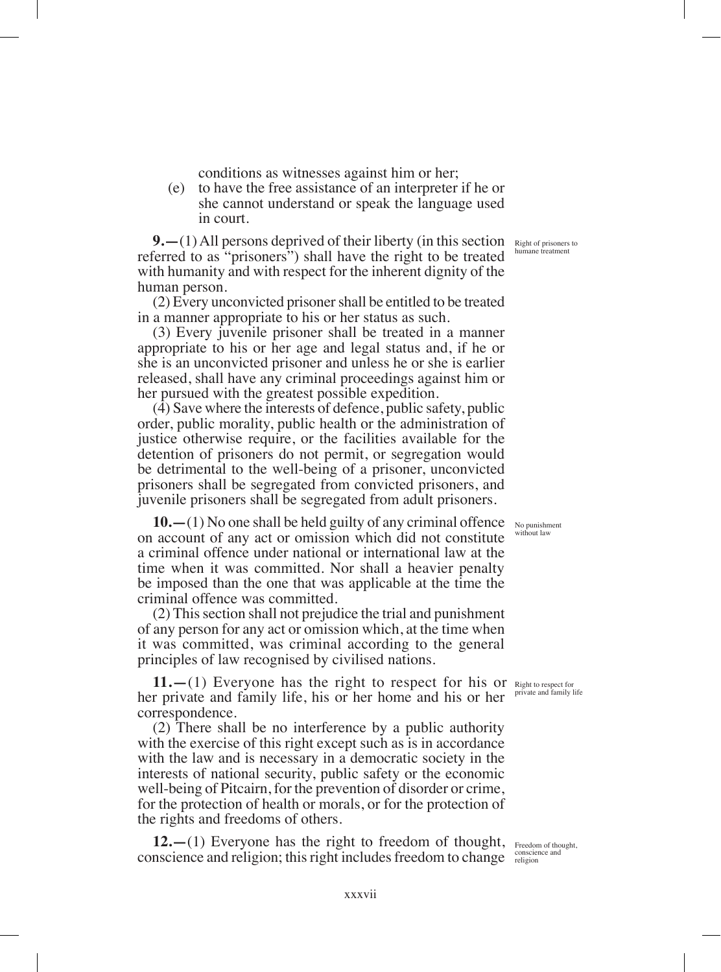conditions as witnesses against him or her;

(e) to have the free assistance of an interpreter if he or she cannot understand or speak the language used in court.

**9.**  $-(1)$  All persons deprived of their liberty (in this section Right of prisoners to referred to as "prisoners") shall have the right to be treated with humanity and with respect for the inherent dignity of the human person.

(2) Every unconvicted prisoner shall be entitled to be treated in a manner appropriate to his or her status as such.

(3) Every juvenile prisoner shall be treated in a manner appropriate to his or her age and legal status and, if he or she is an unconvicted prisoner and unless he or she is earlier released, shall have any criminal proceedings against him or her pursued with the greatest possible expedition.

(4) Save where the interests of defence, public safety, public order, public morality, public health or the administration of justice otherwise require, or the facilities available for the detention of prisoners do not permit, or segregation would be detrimental to the well-being of a prisoner, unconvicted prisoners shall be segregated from convicted prisoners, and juvenile prisoners shall be segregated from adult prisoners.

**10.—**(1) No one shall be held guilty of any criminal offence on account of any act or omission which did not constitute a criminal offence under national or international law at the time when it was committed. Nor shall a heavier penalty be imposed than the one that was applicable at the time the criminal offence was committed.

(2) This section shall not prejudice the trial and punishment of any person for any act or omission which, at the time when it was committed, was criminal according to the general principles of law recognised by civilised nations.

**11.** - (1) Everyone has the right to respect for his or Right to respect for her private and family life, his or her home and his or her correspondence.

(2) There shall be no interference by a public authority with the exercise of this right except such as is in accordance with the law and is necessary in a democratic society in the interests of national security, public safety or the economic well-being of Pitcairn, for the prevention of disorder or crime, for the protection of health or morals, or for the protection of the rights and freedoms of others.

**12.** - (1) Everyone has the right to freedom of thought, Freedom of thought, conscience and religion; this right includes freedom to change  $\Gamma_{\text{religion}}^{\text{con$ 

humane treatment

No punishment without law

private and family life

conscience and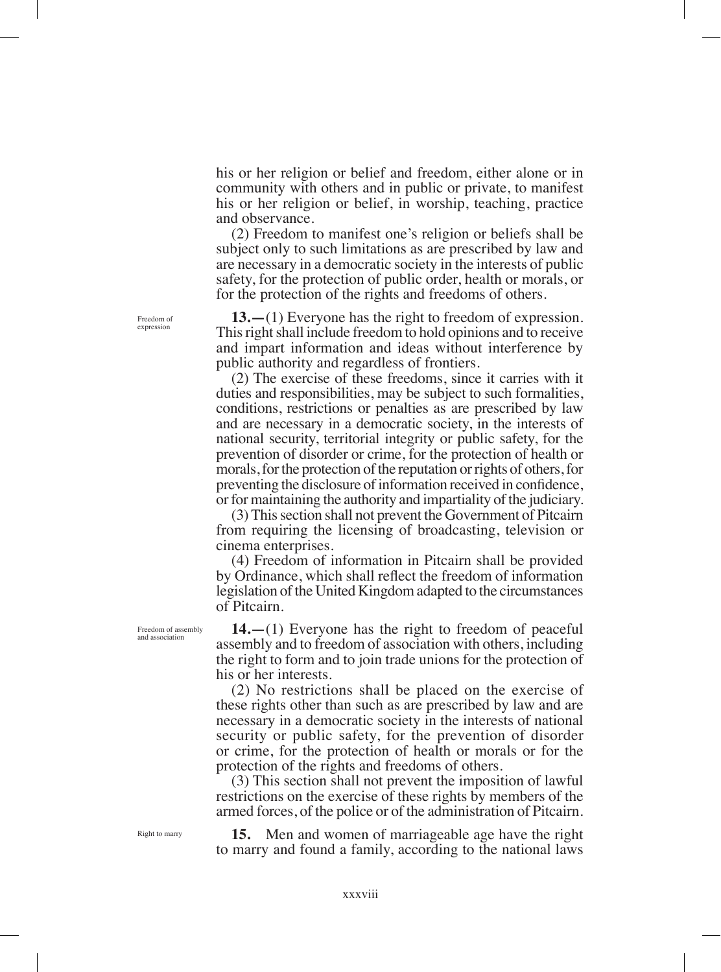his or her religion or belief and freedom, either alone or in community with others and in public or private, to manifest his or her religion or belief, in worship, teaching, practice and observance.

(2) Freedom to manifest one's religion or beliefs shall be subject only to such limitations as are prescribed by law and are necessary in a democratic society in the interests of public safety, for the protection of public order, health or morals, or for the protection of the rights and freedoms of others.

**13.—**(1) Everyone has the right to freedom of expression. This right shall include freedom to hold opinions and to receive and impart information and ideas without interference by public authority and regardless of frontiers.

(2) The exercise of these freedoms, since it carries with it duties and responsibilities, may be subject to such formalities, conditions, restrictions or penalties as are prescribed by law and are necessary in a democratic society, in the interests of national security, territorial integrity or public safety, for the prevention of disorder or crime, for the protection of health or morals, for the protection of the reputation or rights of others, for preventing the disclosure of information received in confdence, or for maintaining the authority and impartiality of the judiciary.

(3) This section shall not prevent the Government of Pitcairn from requiring the licensing of broadcasting, television or cinema enterprises.

(4) Freedom of information in Pitcairn shall be provided by Ordinance, which shall refect the freedom of information legislation of the United Kingdom adapted to the circumstances of Pitcairn.

Freedom of assembly and association

**14.—**(1) Everyone has the right to freedom of peaceful assembly and to freedom of association with others, including the right to form and to join trade unions for the protection of his or her interests.

(2) No restrictions shall be placed on the exercise of these rights other than such as are prescribed by law and are necessary in a democratic society in the interests of national security or public safety, for the prevention of disorder or crime, for the protection of health or morals or for the protection of the rights and freedoms of others.

(3) This section shall not prevent the imposition of lawful restrictions on the exercise of these rights by members of the armed forces, of the police or of the administration of Pitcairn.

**15.** Men and women of marriageable age have the right to marry and found a family, according to the national laws

Freedom of expression

Right to marry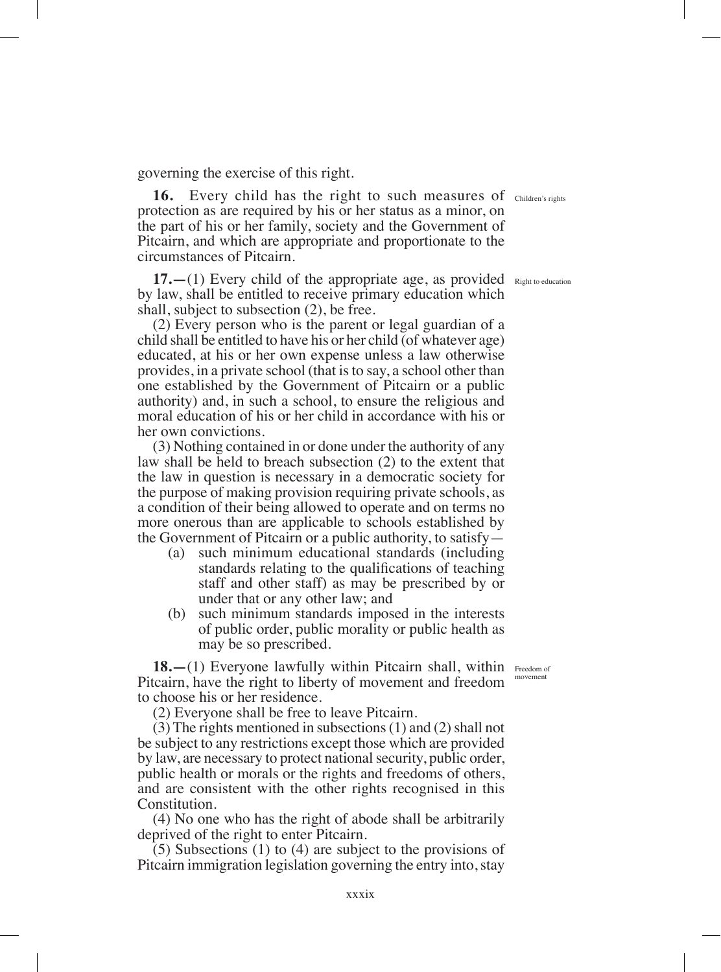governing the exercise of this right.

**16.** Every child has the right to such measures of children's rights protection as are required by his or her status as a minor, on the part of his or her family, society and the Government of Pitcairn, and which are appropriate and proportionate to the circumstances of Pitcairn.

**17.**—(1) Every child of the appropriate age, as provided Right to education by law, shall be entitled to receive primary education which shall, subject to subsection (2), be free.

(2) Every person who is the parent or legal guardian of a child shall be entitled to have his or her child (of whatever age) educated, at his or her own expense unless a law otherwise provides, in a private school (that is to say, a school other than one established by the Government of Pitcairn or a public authority) and, in such a school, to ensure the religious and moral education of his or her child in accordance with his or her own convictions.

(3) Nothing contained in or done under the authority of any law shall be held to breach subsection (2) to the extent that the law in question is necessary in a democratic society for the purpose of making provision requiring private schools, as a condition of their being allowed to operate and on terms no more onerous than are applicable to schools established by the Government of Pitcairn or a public authority, to satisfy—

- (a) such minimum educational standards (including standards relating to the qualifcations of teaching staff and other staff) as may be prescribed by or under that or any other law; and
- (b) such minimum standards imposed in the interests of public order, public morality or public health as may be so prescribed.

**18.—**(1) Everyone lawfully within Pitcairn shall, within Pitcairn, have the right to liberty of movement and freedom to choose his or her residence.

(2) Everyone shall be free to leave Pitcairn.

(3) The rights mentioned in subsections (1) and (2) shall not be subject to any restrictions except those which are provided by law, are necessary to protect national security, public order, public health or morals or the rights and freedoms of others, and are consistent with the other rights recognised in this Constitution.

(4) No one who has the right of abode shall be arbitrarily deprived of the right to enter Pitcairn.

(5) Subsections (1) to (4) are subject to the provisions of Pitcairn immigration legislation governing the entry into, stay

Freedom of movement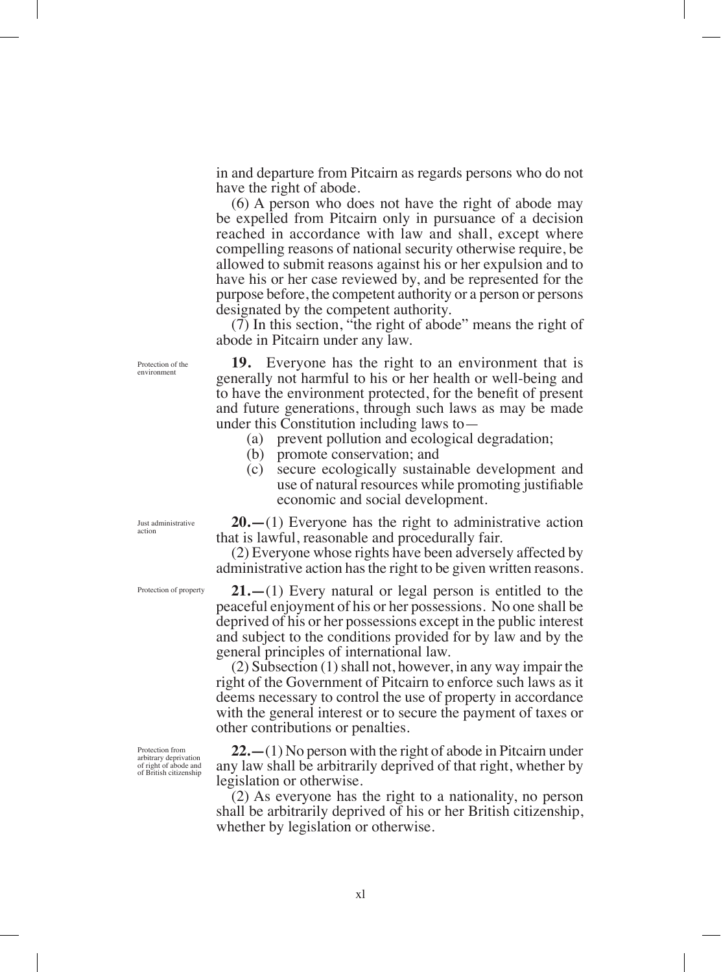in and departure from Pitcairn as regards persons who do not have the right of abode.

(6) A person who does not have the right of abode may be expelled from Pitcairn only in pursuance of a decision reached in accordance with law and shall, except where compelling reasons of national security otherwise require, be allowed to submit reasons against his or her expulsion and to have his or her case reviewed by, and be represented for the purpose before, the competent authority or a person or persons designated by the competent authority.

(7) In this section, "the right of abode" means the right of abode in Pitcairn under any law.

**19.** Everyone has the right to an environment that is generally not harmful to his or her health or well-being and to have the environment protected, for the beneft of present and future generations, through such laws as may be made under this Constitution including laws to—

- (a) prevent pollution and ecological degradation;
- (b) promote conservation; and
- (c) secure ecologically sustainable development and use of natural resources while promoting justifable economic and social development.

**20.—**(1) Everyone has the right to administrative action that is lawful, reasonable and procedurally fair.

(2) Everyone whose rights have been adversely affected by administrative action has the right to be given written reasons.

**21.—**(1) Every natural or legal person is entitled to the peaceful enjoyment of his or her possessions. No one shall be deprived of his or her possessions except in the public interest and subject to the conditions provided for by law and by the general principles of international law.

(2) Subsection (1) shall not, however, in any way impair the right of the Government of Pitcairn to enforce such laws as it deems necessary to control the use of property in accordance with the general interest or to secure the payment of taxes or other contributions or penalties.

**22.—**(1) No person with the right of abode in Pitcairn under any law shall be arbitrarily deprived of that right, whether by legislation or otherwise.

(2) As everyone has the right to a nationality, no person shall be arbitrarily deprived of his or her British citizenship, whether by legislation or otherwise.

Protection of the environmen

Just administrative action

Protection of property

Protection from arbitrary deprivation of right of abode and of British citizenship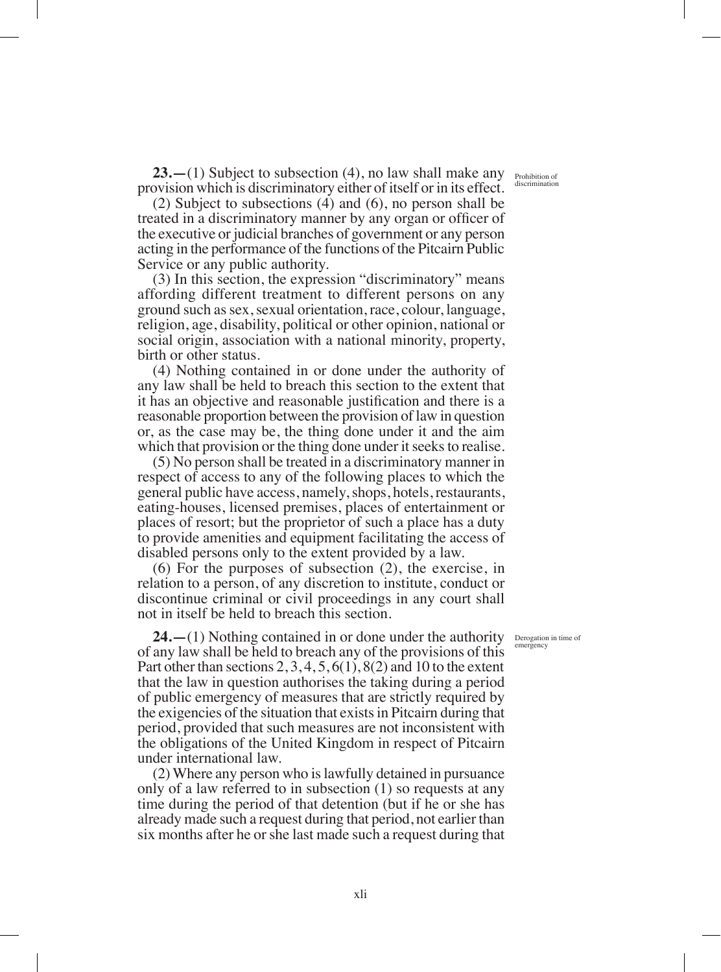Prohibition of discrimination

**23.—**(1) Subject to subsection (4), no law shall make any provision which is discriminatory either of itself or in its effect.

(2) Subject to subsections (4) and (6), no person shall be treated in a discriminatory manner by any organ or offcer of the executive or judicial branches of government or any person acting in the performance of the functions of the Pitcairn Public Service or any public authority.

(3) In this section, the expression "discriminatory" means affording different treatment to different persons on any ground such as sex, sexual orientation, race, colour, language, religion, age, disability, political or other opinion, national or social origin, association with a national minority, property, birth or other status.

(4) Nothing contained in or done under the authority of any law shall be held to breach this section to the extent that it has an objective and reasonable justifcation and there is a reasonable proportion between the provision of law in question or, as the case may be, the thing done under it and the aim which that provision or the thing done under it seeks to realise.

(5) No person shall be treated in a discriminatory manner in respect of access to any of the following places to which the general public have access, namely, shops, hotels, restaurants, eating-houses, licensed premises, places of entertainment or places of resort; but the proprietor of such a place has a duty to provide amenities and equipment facilitating the access of disabled persons only to the extent provided by a law.

(6) For the purposes of subsection (2), the exercise, in relation to a person, of any discretion to institute, conduct or discontinue criminal or civil proceedings in any court shall not in itself be held to breach this section.

emergency

**24.** (1) Nothing contained in or done under the authority Derogation in time of of any law shall be held to breach any of the provisions of this Part other than sections  $2, 3, 4, 5, 6(1), 8(2)$  and 10 to the extent that the law in question authorises the taking during a period of public emergency of measures that are strictly required by the exigencies of the situation that exists in Pitcairn during that period, provided that such measures are not inconsistent with the obligations of the United Kingdom in respect of Pitcairn under international law.

(2) Where any person who is lawfully detained in pursuance only of a law referred to in subsection (1) so requests at any time during the period of that detention (but if he or she has already made such a request during that period, not earlier than six months after he or she last made such a request during that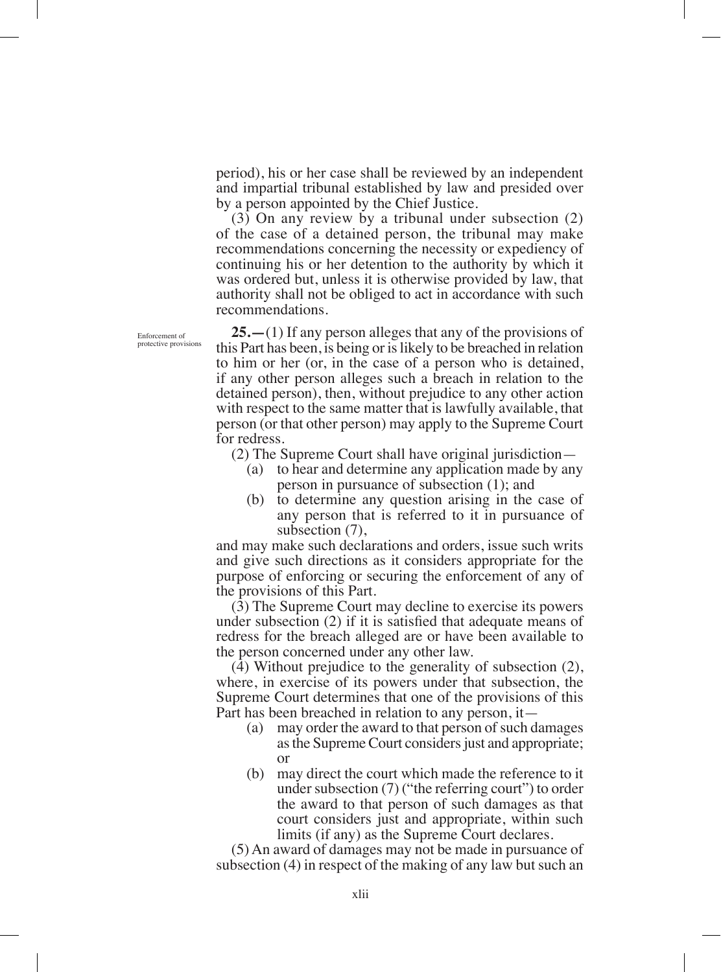period), his or her case shall be reviewed by an independent and impartial tribunal established by law and presided over by a person appointed by the Chief Justice.

(3) On any review by a tribunal under subsection (2) of the case of a detained person, the tribunal may make recommendations concerning the necessity or expediency of continuing his or her detention to the authority by which it was ordered but, unless it is otherwise provided by law, that authority shall not be obliged to act in accordance with such recommendations.

**25.—**(1) If any person alleges that any of the provisions of this Part has been, is being or is likely to be breached in relation to him or her (or, in the case of a person who is detained, if any other person alleges such a breach in relation to the detained person), then, without prejudice to any other action with respect to the same matter that is lawfully available, that person (or that other person) may apply to the Supreme Court for redress.

(2) The Supreme Court shall have original jurisdiction—

- (a) to hear and determine any application made by any person in pursuance of subsection (1); and
- (b) to determine any question arising in the case of any person that is referred to it in pursuance of subsection (7),

and may make such declarations and orders, issue such writs and give such directions as it considers appropriate for the purpose of enforcing or securing the enforcement of any of the provisions of this Part.

(3) The Supreme Court may decline to exercise its powers under subsection (2) if it is satisfed that adequate means of redress for the breach alleged are or have been available to the person concerned under any other law.

(4) Without prejudice to the generality of subsection (2), where, in exercise of its powers under that subsection, the Supreme Court determines that one of the provisions of this Part has been breached in relation to any person, it—

- (a) may order the award to that person of such damages as the Supreme Court considers just and appropriate; or
- (b) may direct the court which made the reference to it under subsection (7) ("the referring court") to order the award to that person of such damages as that court considers just and appropriate, within such limits (if any) as the Supreme Court declares.

(5) An award of damages may not be made in pursuance of subsection (4) in respect of the making of any law but such an

Enforcement of protective provisions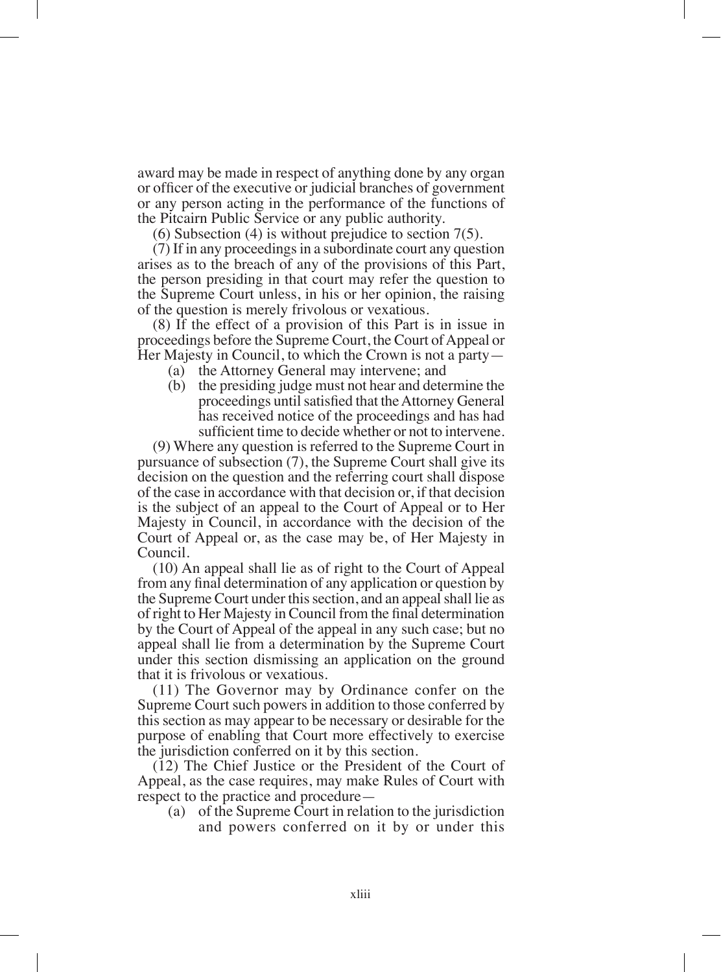award may be made in respect of anything done by any organ or offcer of the executive or judicial branches of government or any person acting in the performance of the functions of the Pitcairn Public Service or any public authority.

(6) Subsection (4) is without prejudice to section 7(5).

(7) If in any proceedings in a subordinate court any question arises as to the breach of any of the provisions of this Part, the person presiding in that court may refer the question to the Supreme Court unless, in his or her opinion, the raising of the question is merely frivolous or vexatious.

(8) If the effect of a provision of this Part is in issue in proceedings before the Supreme Court, the Court of Appeal or Her Majesty in Council, to which the Crown is not a party—

- (a) the Attorney General may intervene; and
- (b) the presiding judge must not hear and determine the proceedings until satisfed that the Attorney General has received notice of the proceedings and has had sufficient time to decide whether or not to intervene.

(9) Where any question is referred to the Supreme Court in pursuance of subsection (7), the Supreme Court shall give its decision on the question and the referring court shall dispose of the case in accordance with that decision or, if that decision is the subject of an appeal to the Court of Appeal or to Her Majesty in Council, in accordance with the decision of the Court of Appeal or, as the case may be, of Her Majesty in Council.

(10) An appeal shall lie as of right to the Court of Appeal from any fnal determination of any application or question by the Supreme Court under this section, and an appeal shall lie as of right to Her Majesty in Council from the fnal determination by the Court of Appeal of the appeal in any such case; but no appeal shall lie from a determination by the Supreme Court under this section dismissing an application on the ground that it is frivolous or vexatious.

(11) The Governor may by Ordinance confer on the Supreme Court such powers in addition to those conferred by this section as may appear to be necessary or desirable for the purpose of enabling that Court more effectively to exercise the jurisdiction conferred on it by this section.

(12) The Chief Justice or the President of the Court of Appeal, as the case requires, may make Rules of Court with respect to the practice and procedure—

(a) of the Supreme Court in relation to the jurisdiction and powers conferred on it by or under this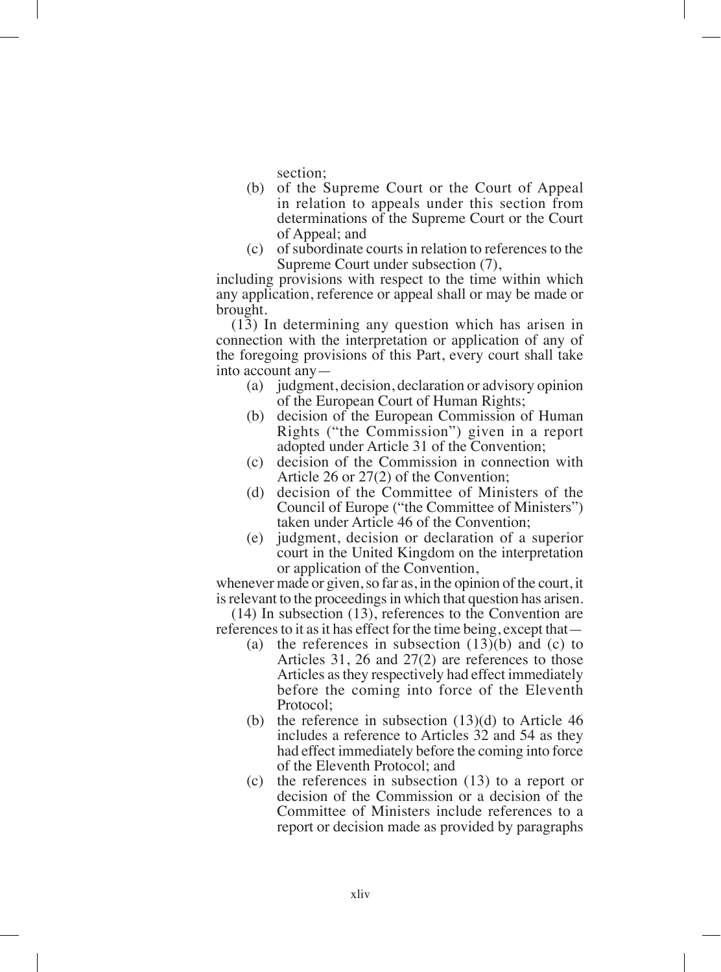section;

- (b) of the Supreme Court or the Court of Appeal in relation to appeals under this section from determinations of the Supreme Court or the Court of Appeal; and
- (c) of subordinate courts in relation to references to the Supreme Court under subsection (7),

including provisions with respect to the time within which any application, reference or appeal shall or may be made or brought.

(13) In determining any question which has arisen in connection with the interpretation or application of any of the foregoing provisions of this Part, every court shall take into account any—

- (a) judgment, decision, declaration or advisory opinion of the European Court of Human Rights;
- (b) decision of the European Commission of Human Rights ("the Commission") given in a report adopted under Article 31 of the Convention;
- (c) decision of the Commission in connection with Article 26 or 27(2) of the Convention;
- (d) decision of the Committee of Ministers of the Council of Europe ("the Committee of Ministers") taken under Article 46 of the Convention;
- (e) judgment, decision or declaration of a superior court in the United Kingdom on the interpretation or application of the Convention,

whenever made or given, so far as, in the opinion of the court, it is relevant to the proceedings in which that question has arisen.

(14) In subsection (13), references to the Convention are references to it as it has effect for the time being, except that—

- (a) the references in subsection  $(13)(b)$  and (c) to Articles 31, 26 and 27(2) are references to those Articles as they respectively had effect immediately before the coming into force of the Eleventh Protocol;
- (b) the reference in subsection (13)(d) to Article 46 includes a reference to Articles 32 and 54 as they had effect immediately before the coming into force of the Eleventh Protocol; and
- (c) the references in subsection (13) to a report or decision of the Commission or a decision of the Committee of Ministers include references to a report or decision made as provided by paragraphs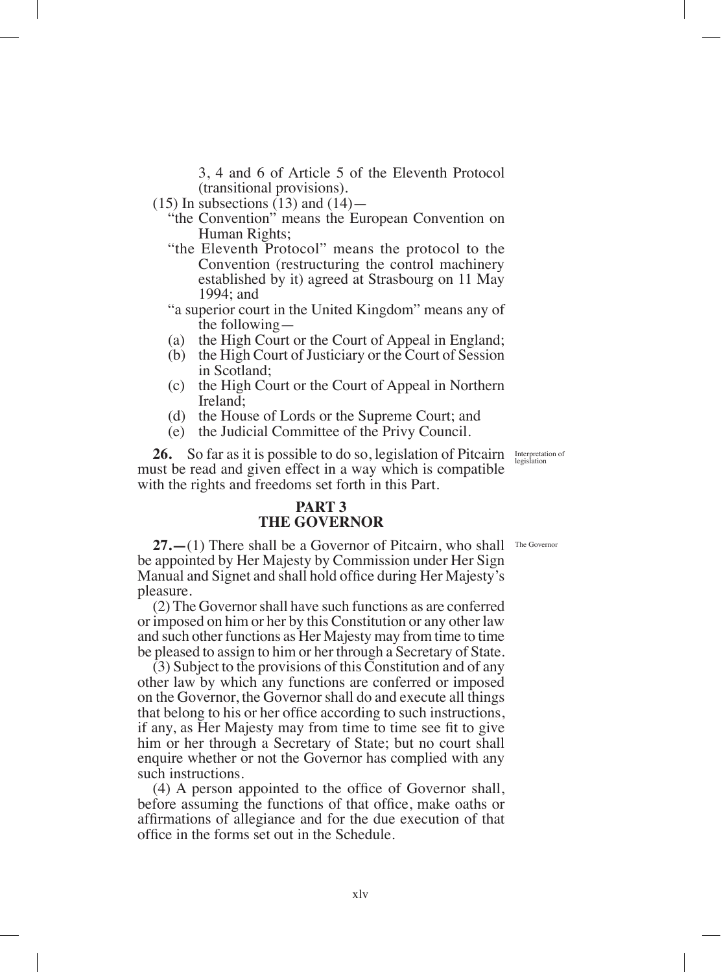3, 4 and 6 of Article 5 of the Eleventh Protocol (transitional provisions).

- $(15)$  In subsections  $(13)$  and  $(14)$ 
	- "the Convention" means the European Convention on Human Rights;
	- "the Eleventh Protocol" means the protocol to the Convention (restructuring the control machinery established by it) agreed at Strasbourg on 11 May 1994; and
	- "a superior court in the United Kingdom" means any of the following—
	- (a) the High Court or the Court of Appeal in England;
	- (b) the High Court of Justiciary or the Court of Session in Scotland;
	- (c) the High Court or the Court of Appeal in Northern Ireland;
	- (d) the House of Lords or the Supreme Court; and
	- (e) the Judicial Committee of the Privy Council.

**26.** So far as it is possible to do so, legislation of Pitcairn Interpretation of must be read and given effect in a way which is compatible with the rights and freedoms set forth in this Part.

## **PART 3 THE GOVERNOR**

**27.** - (1) There shall be a Governor of Pitcairn, who shall The Governor be appointed by Her Majesty by Commission under Her Sign Manual and Signet and shall hold offce during Her Majesty's pleasure.

(2) The Governor shall have such functions as are conferred or imposed on him or her by this Constitution or any other law and such other functions as Her Majesty may from time to time be pleased to assign to him or her through a Secretary of State.

(3) Subject to the provisions of this Constitution and of any other law by which any functions are conferred or imposed on the Governor, the Governor shall do and execute all things that belong to his or her offce according to such instructions, if any, as Her Majesty may from time to time see ft to give him or her through a Secretary of State; but no court shall enquire whether or not the Governor has complied with any such instructions.

(4) A person appointed to the offce of Governor shall, before assuming the functions of that office, make oaths or affrmations of allegiance and for the due execution of that offce in the forms set out in the Schedule.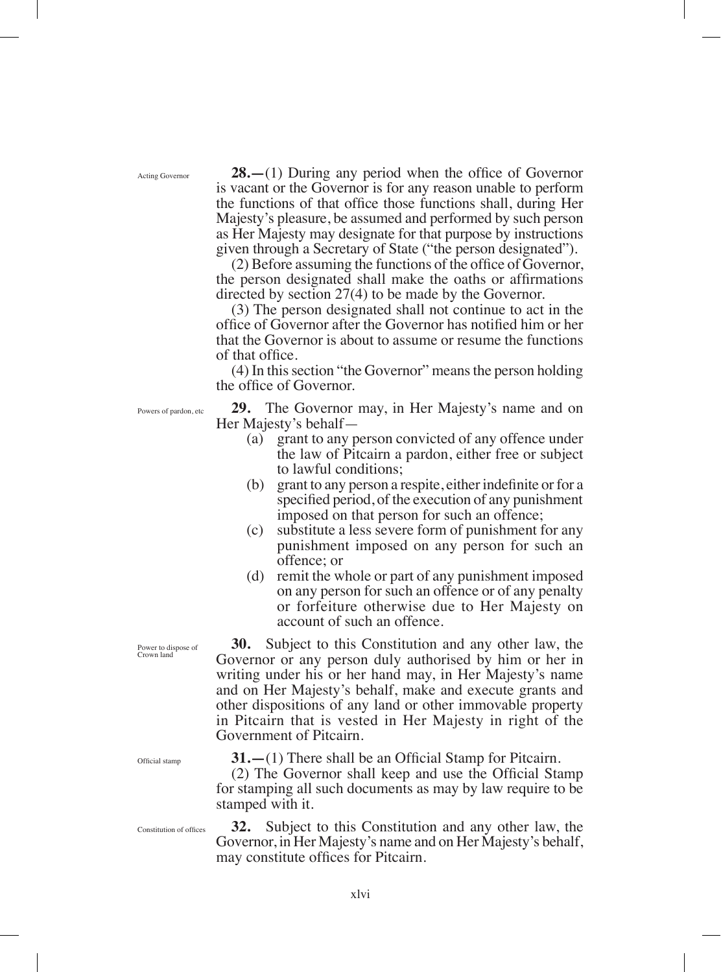Acting Governor

**28.—(1)** During any period when the office of Governor is vacant or the Governor is for any reason unable to perform the functions of that offce those functions shall, during Her Majesty's pleasure, be assumed and performed by such person as Her Majesty may designate for that purpose by instructions given through a Secretary of State ("the person designated").

(2) Before assuming the functions of the offce of Governor, the person designated shall make the oaths or affrmations directed by section 27(4) to be made by the Governor.

(3) The person designated shall not continue to act in the offce of Governor after the Governor has notifed him or her that the Governor is about to assume or resume the functions of that offce.

(4) In this section "the Governor" means the person holding the office of Governor.

**29.** The Governor may, in Her Majesty's name and on Her Majesty's behalf—

- (a) grant to any person convicted of any offence under the law of Pitcairn a pardon, either free or subject to lawful conditions;
- (b) grant to any person a respite, either indefnite or for a specifed period, of the execution of any punishment imposed on that person for such an offence;
- (c) substitute a less severe form of punishment for any punishment imposed on any person for such an offence; or
- (d) remit the whole or part of any punishment imposed on any person for such an offence or of any penalty or forfeiture otherwise due to Her Majesty on account of such an offence.

**30.** Subject to this Constitution and any other law, the Governor or any person duly authorised by him or her in writing under his or her hand may, in Her Majesty's name and on Her Majesty's behalf, make and execute grants and other dispositions of any land or other immovable property in Pitcairn that is vested in Her Majesty in right of the Government of Pitcairn.

**31.—(1)** There shall be an Official Stamp for Pitcairn.

(2) The Governor shall keep and use the Offcial Stamp for stamping all such documents as may by law require to be stamped with it.

Constitution of offices

**32.** Subject to this Constitution and any other law, the Governor, in Her Majesty's name and on Her Majesty's behalf, may constitute offices for Pitcairn.

Power to dispose of Crown land

Official stamp

Powers of pardon, etc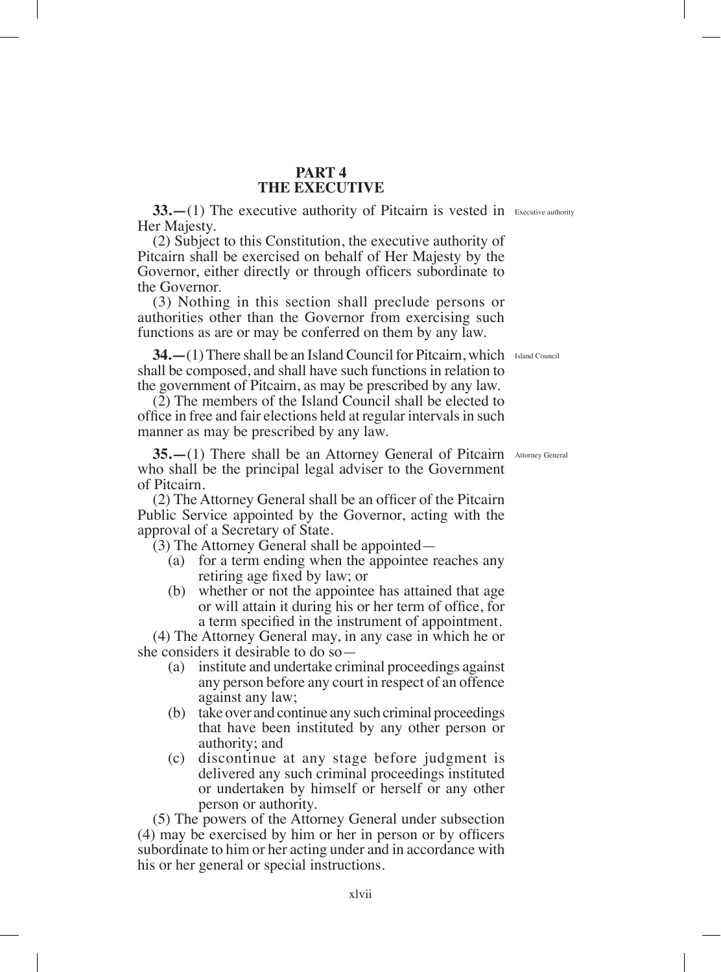# **PART 4 THE EXECUTIVE**

**33.** - (1) The executive authority of Pitcairn is vested in Executive authority Her Majesty.

(2) Subject to this Constitution, the executive authority of Pitcairn shall be exercised on behalf of Her Majesty by the Governor, either directly or through officers subordinate to the Governor.

(3) Nothing in this section shall preclude persons or authorities other than the Governor from exercising such functions as are or may be conferred on them by any law.

**34.**  $-$ (1) There shall be an Island Council for Pitcairn, which Island Council shall be composed, and shall have such functions in relation to the government of Pitcairn, as may be prescribed by any law.

(2) The members of the Island Council shall be elected to offce in free and fair elections held at regular intervals in such manner as may be prescribed by any law.

**35.**—(1) There shall be an Attorney General of Pitcairn Attorney General who shall be the principal legal adviser to the Government of Pitcairn.

(2) The Attorney General shall be an offcer of the Pitcairn Public Service appointed by the Governor, acting with the approval of a Secretary of State.

(3) The Attorney General shall be appointed—

- (a) for a term ending when the appointee reaches any retiring age fxed by law; or
- (b) whether or not the appointee has attained that age or will attain it during his or her term of offce, for a term specifed in the instrument of appointment.

(4) The Attorney General may, in any case in which he or she considers it desirable to do so—

- (a) institute and undertake criminal proceedings against any person before any court in respect of an offence against any law;
- (b) take over and continue any such criminal proceedings that have been instituted by any other person or authority; and
- (c) discontinue at any stage before judgment is delivered any such criminal proceedings instituted or undertaken by himself or herself or any other person or authority.

(5) The powers of the Attorney General under subsection (4) may be exercised by him or her in person or by offcers subordinate to him or her acting under and in accordance with his or her general or special instructions.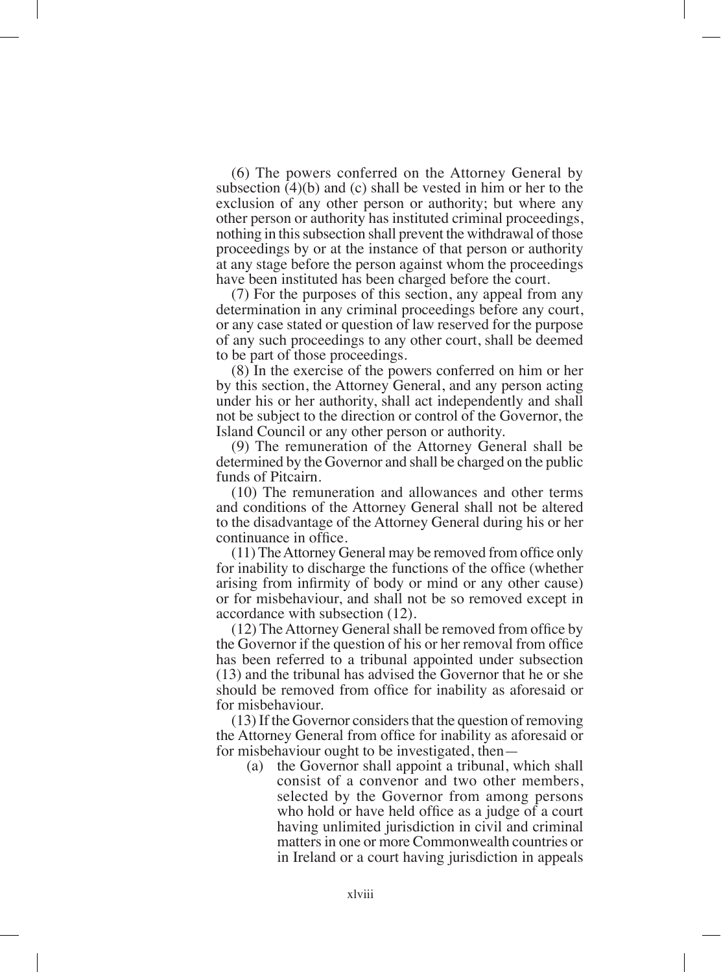(6) The powers conferred on the Attorney General by subsection (4)(b) and (c) shall be vested in him or her to the exclusion of any other person or authority; but where any other person or authority has instituted criminal proceedings, nothing in this subsection shall prevent the withdrawal of those proceedings by or at the instance of that person or authority at any stage before the person against whom the proceedings have been instituted has been charged before the court.

(7) For the purposes of this section, any appeal from any determination in any criminal proceedings before any court, or any case stated or question of law reserved for the purpose of any such proceedings to any other court, shall be deemed to be part of those proceedings.

(8) In the exercise of the powers conferred on him or her by this section, the Attorney General, and any person acting under his or her authority, shall act independently and shall not be subject to the direction or control of the Governor, the Island Council or any other person or authority.

(9) The remuneration of the Attorney General shall be determined by the Governor and shall be charged on the public funds of Pitcairn.

(10) The remuneration and allowances and other terms and conditions of the Attorney General shall not be altered to the disadvantage of the Attorney General during his or her continuance in office.

(11) The Attorney General may be removed from offce only for inability to discharge the functions of the offce (whether arising from infrmity of body or mind or any other cause) or for misbehaviour, and shall not be so removed except in accordance with subsection (12).

(12) The Attorney General shall be removed from offce by the Governor if the question of his or her removal from office has been referred to a tribunal appointed under subsection (13) and the tribunal has advised the Governor that he or she should be removed from office for inability as aforesaid or for misbehaviour.

(13) If the Governor considers that the question of removing the Attorney General from offce for inability as aforesaid or for misbehaviour ought to be investigated, then—

(a) the Governor shall appoint a tribunal, which shall consist of a convenor and two other members, selected by the Governor from among persons who hold or have held office as a judge of a court having unlimited jurisdiction in civil and criminal matters in one or more Commonwealth countries or in Ireland or a court having jurisdiction in appeals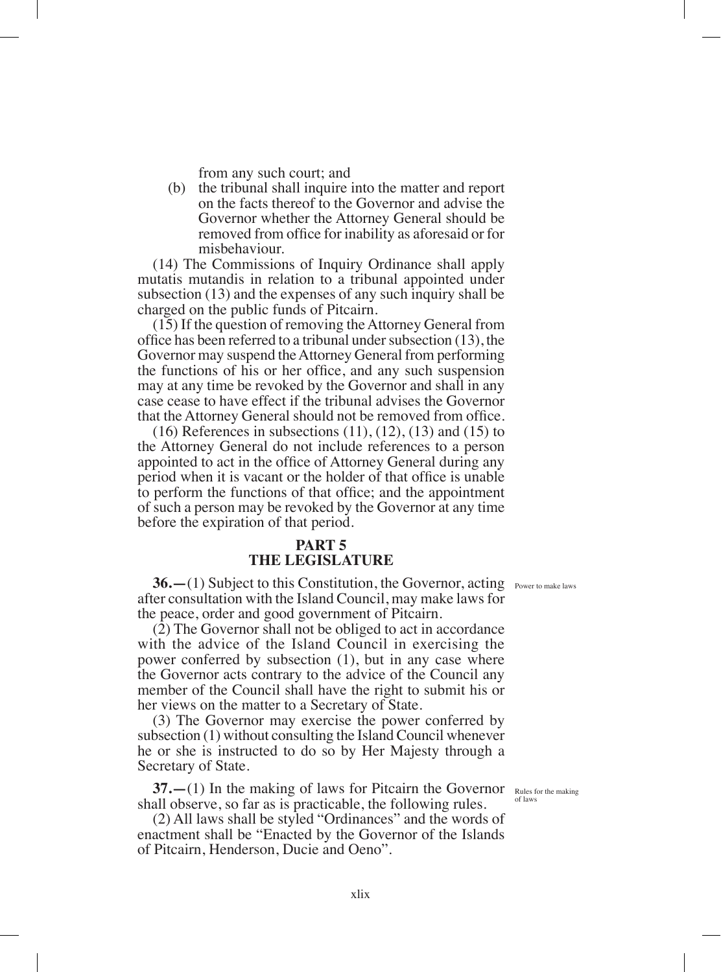from any such court; and

(b) the tribunal shall inquire into the matter and report on the facts thereof to the Governor and advise the Governor whether the Attorney General should be removed from office for inability as aforesaid or for misbehaviour.

(14) The Commissions of Inquiry Ordinance shall apply mutatis mutandis in relation to a tribunal appointed under subsection (13) and the expenses of any such inquiry shall be charged on the public funds of Pitcairn.

(15) If the question of removing the Attorney General from offce has been referred to a tribunal under subsection (13), the Governor may suspend the Attorney General from performing the functions of his or her offce, and any such suspension may at any time be revoked by the Governor and shall in any case cease to have effect if the tribunal advises the Governor that the Attorney General should not be removed from office.

 $(16)$  References in subsections  $(11)$ ,  $(12)$ ,  $(13)$  and  $(15)$  to the Attorney General do not include references to a person appointed to act in the office of Attorney General during any period when it is vacant or the holder of that offce is unable to perform the functions of that offce; and the appointment of such a person may be revoked by the Governor at any time before the expiration of that period.

# **PART 5 THE LEGISLATURE**

**36.**—(1) Subject to this Constitution, the Governor, acting Power to make laws after consultation with the Island Council, may make laws for the peace, order and good government of Pitcairn.

(2) The Governor shall not be obliged to act in accordance with the advice of the Island Council in exercising the power conferred by subsection (1), but in any case where the Governor acts contrary to the advice of the Council any member of the Council shall have the right to submit his or her views on the matter to a Secretary of State.

(3) The Governor may exercise the power conferred by subsection (1) without consulting the Island Council whenever he or she is instructed to do so by Her Majesty through a Secretary of State.

**37.** - (1) In the making of laws for Pitcairn the Governor Rules for the making shall observe, so far as is practicable, the following rules.

(2) All laws shall be styled "Ordinances" and the words of enactment shall be "Enacted by the Governor of the Islands of Pitcairn, Henderson, Ducie and Oeno".

of laws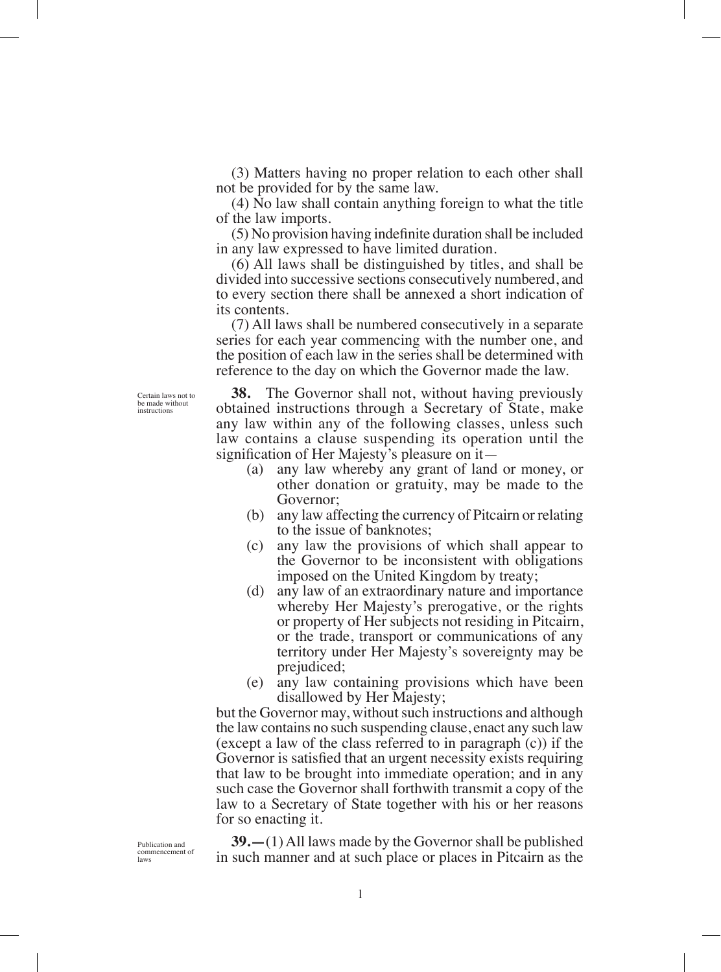(3) Matters having no proper relation to each other shall not be provided for by the same law.

(4) No law shall contain anything foreign to what the title of the law imports.

(5) No provision having indefnite duration shall be included in any law expressed to have limited duration.

(6) All laws shall be distinguished by titles, and shall be divided into successive sections consecutively numbered, and to every section there shall be annexed a short indication of its contents.

(7) All laws shall be numbered consecutively in a separate series for each year commencing with the number one, and the position of each law in the series shall be determined with reference to the day on which the Governor made the law.

Certain laws not to be made without instructions

**38.** The Governor shall not, without having previously obtained instructions through a Secretary of State, make any law within any of the following classes, unless such law contains a clause suspending its operation until the signifcation of Her Majesty's pleasure on it—

- (a) any law whereby any grant of land or money, or other donation or gratuity, may be made to the Governor;
- (b) any law affecting the currency of Pitcairn or relating to the issue of banknotes;
- (c) any law the provisions of which shall appear to the Governor to be inconsistent with obligations imposed on the United Kingdom by treaty;
- (d) any law of an extraordinary nature and importance whereby Her Majesty's prerogative, or the rights or property of Her subjects not residing in Pitcairn, or the trade, transport or communications of any territory under Her Majesty's sovereignty may be prejudiced;
- (e) any law containing provisions which have been disallowed by Her Majesty;

but the Governor may, without such instructions and although the law contains no such suspending clause, enact any such law (except a law of the class referred to in paragraph (c)) if the Governor is satisfed that an urgent necessity exists requiring that law to be brought into immediate operation; and in any such case the Governor shall forthwith transmit a copy of the law to a Secretary of State together with his or her reasons for so enacting it.

Publication and commencement of laws

**39.—**(1) All laws made by the Governor shall be published in such manner and at such place or places in Pitcairn as the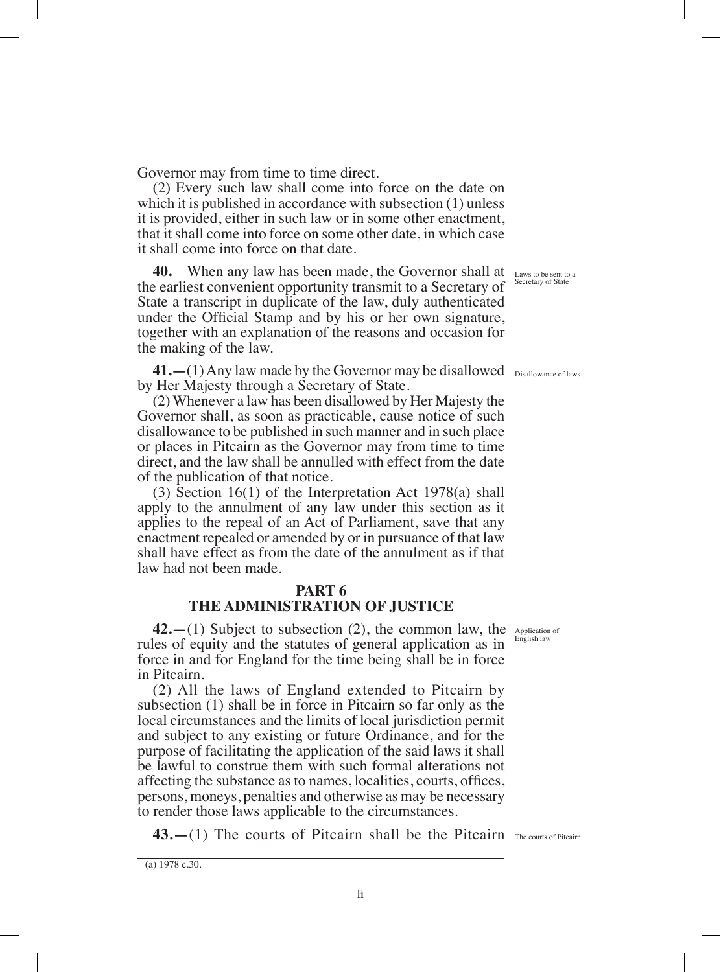Governor may from time to time direct.

(2) Every such law shall come into force on the date on which it is published in accordance with subsection (1) unless it is provided, either in such law or in some other enactment, that it shall come into force on some other date, in which case it shall come into force on that date.

**40.** When any law has been made, the Governor shall at Laws to be sent to a correlation of Secretary of State of Decretary of State of Secretary of State of Secretary of State of Secretary of State of Secretary of State o the earliest convenient opportunity transmit to a Secretary of State a transcript in duplicate of the law, duly authenticated under the Official Stamp and by his or her own signature, together with an explanation of the reasons and occasion for the making of the law.

**41.**—(1) Any law made by the Governor may be disallowed  $\,$   $\rm _{Disallowance \ of \ laws}$ by Her Majesty through a Secretary of State.

(2) Whenever a law has been disallowed by Her Majesty the Governor shall, as soon as practicable, cause notice of such disallowance to be published in such manner and in such place or places in Pitcairn as the Governor may from time to time direct, and the law shall be annulled with effect from the date of the publication of that notice.

(3) Section 16(1) of the Interpretation Act 1978(a) shall apply to the annulment of any law under this section as it applies to the repeal of an Act of Parliament, save that any enactment repealed or amended by or in pursuance of that law shall have effect as from the date of the annulment as if that law had not been made.

## **PART 6**

## **THE ADMINISTRATION OF JUSTICE**

 $42$ —(1) Subject to subsection (2), the common law, the  $\frac{1}{2}$  Application of law rules of equity and the statutes of general application as in force in and for England for the time being shall be in force in Pitcairn.

(2) All the laws of England extended to Pitcairn by subsection (1) shall be in force in Pitcairn so far only as the local circumstances and the limits of local jurisdiction permit and subject to any existing or future Ordinance, and for the purpose of facilitating the application of the said laws it shall be lawful to construe them with such formal alterations not affecting the substance as to names, localities, courts, offces, persons, moneys, penalties and otherwise as may be necessary to render those laws applicable to the circumstances.

**43.—**(1) The courts of Pitcairn shall be the Pitcairn The courts of Pitcairn

<sup>(</sup>a) 1978 c.30.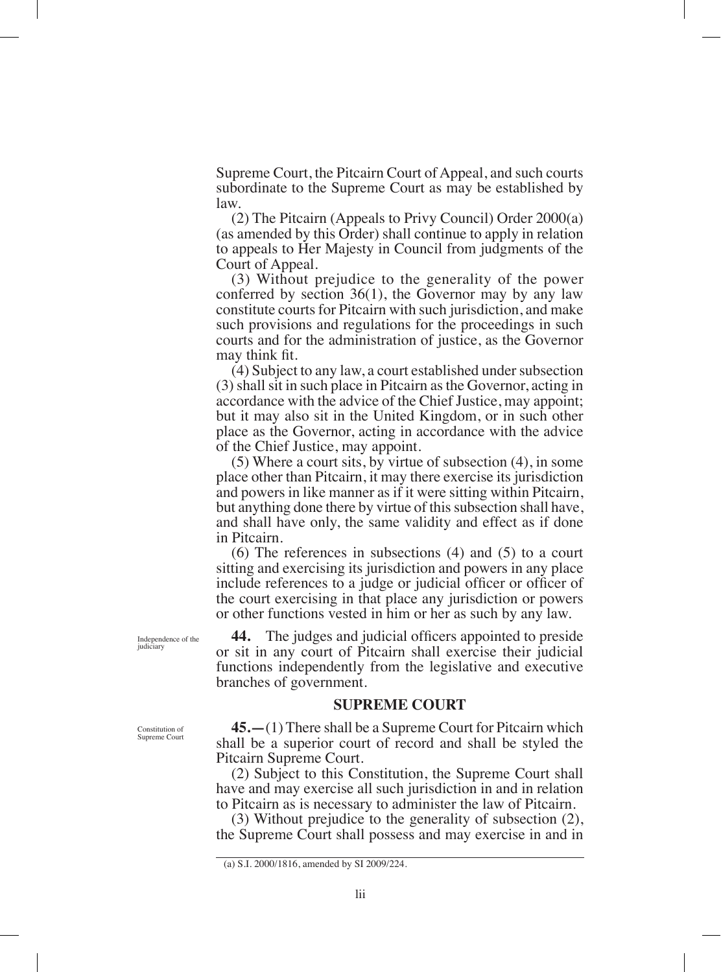Supreme Court, the Pitcairn Court of Appeal, and such courts subordinate to the Supreme Court as may be established by law.

(2) The Pitcairn (Appeals to Privy Council) Order 2000(a) (as amended by this Order) shall continue to apply in relation to appeals to Her Majesty in Council from judgments of the Court of Appeal.

(3) Without prejudice to the generality of the power conferred by section 36(1), the Governor may by any law constitute courts for Pitcairn with such jurisdiction, and make such provisions and regulations for the proceedings in such courts and for the administration of justice, as the Governor may think ft.

(4) Subject to any law, a court established under subsection (3) shall sit in such place in Pitcairn as the Governor, acting in accordance with the advice of the Chief Justice, may appoint; but it may also sit in the United Kingdom, or in such other place as the Governor, acting in accordance with the advice of the Chief Justice, may appoint.

(5) Where a court sits, by virtue of subsection (4), in some place other than Pitcairn, it may there exercise its jurisdiction and powers in like manner as if it were sitting within Pitcairn, but anything done there by virtue of this subsection shall have, and shall have only, the same validity and effect as if done in Pitcairn.

(6) The references in subsections (4) and (5) to a court sitting and exercising its jurisdiction and powers in any place include references to a judge or judicial officer or officer of the court exercising in that place any jurisdiction or powers or other functions vested in him or her as such by any law.

**44.** The judges and judicial offcers appointed to preside or sit in any court of Pitcairn shall exercise their judicial functions independently from the legislative and executive branches of government.

## **SUPREME COURT**

**45.—**(1) There shall be a Supreme Court for Pitcairn which shall be a superior court of record and shall be styled the Pitcairn Supreme Court.

(2) Subject to this Constitution, the Supreme Court shall have and may exercise all such jurisdiction in and in relation to Pitcairn as is necessary to administer the law of Pitcairn.

(3) Without prejudice to the generality of subsection (2), the Supreme Court shall possess and may exercise in and in

Independence of the judiciary

Constitution of Supreme Court

<sup>(</sup>a) S.I. 2000/1816, amended by SI 2009/224.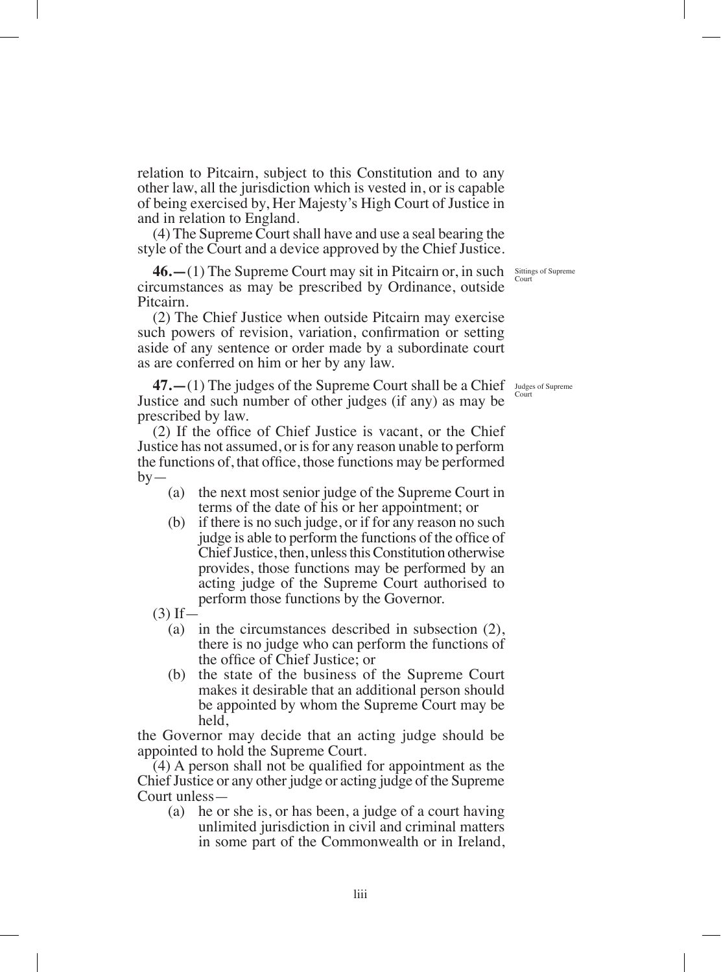relation to Pitcairn, subject to this Constitution and to any other law, all the jurisdiction which is vested in, or is capable of being exercised by, Her Majesty's High Court of Justice in and in relation to England.

(4) The Supreme Court shall have and use a seal bearing the style of the Court and a device approved by the Chief Justice.

**46.**  $-(1)$  The Supreme Court may sit in Pitcairn or, in such Sittings of Supreme circumstances as may be prescribed by Ordinance, outside Pitcairn.

(2) The Chief Justice when outside Pitcairn may exercise such powers of revision, variation, confrmation or setting aside of any sentence or order made by a subordinate court as are conferred on him or her by any law.

**47.**—(1) The judges of the Supreme Court shall be a Chief Judges of Supreme Justice and such number of other judges (if any) as may be prescribed by law.

(2) If the offce of Chief Justice is vacant, or the Chief Justice has not assumed, or is for any reason unable to perform the functions of, that office, those functions may be performed  $by-$ 

- (a) the next most senior judge of the Supreme Court in terms of the date of his or her appointment; or
- (b) if there is no such judge, or if for any reason no such judge is able to perform the functions of the office of Chief Justice, then, unless this Constitution otherwise provides, those functions may be performed by an acting judge of the Supreme Court authorised to perform those functions by the Governor.
- $(3)$  If  $-$ 
	- (a) in the circumstances described in subsection (2), there is no judge who can perform the functions of the offce of Chief Justice; or
	- (b) the state of the business of the Supreme Court makes it desirable that an additional person should be appointed by whom the Supreme Court may be held,

the Governor may decide that an acting judge should be appointed to hold the Supreme Court.

(4) A person shall not be qualifed for appointment as the Chief Justice or any other judge or acting judge of the Supreme Court unless—

(a) he or she is, or has been, a judge of a court having unlimited jurisdiction in civil and criminal matters in some part of the Commonwealth or in Ireland,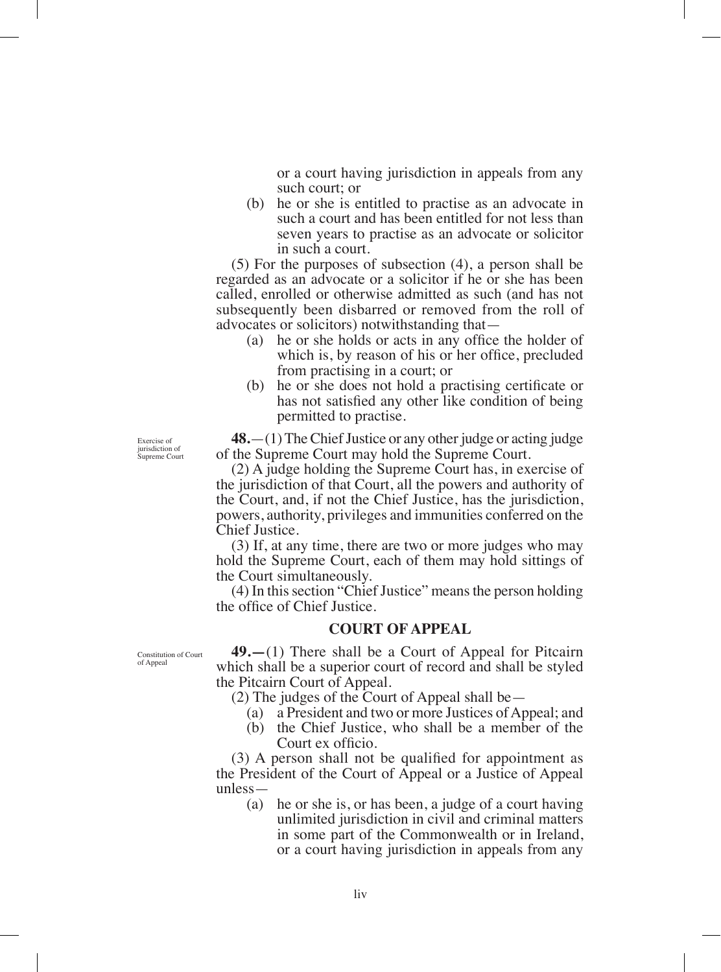or a court having jurisdiction in appeals from any such court; or

(b) he or she is entitled to practise as an advocate in such a court and has been entitled for not less than seven years to practise as an advocate or solicitor in such a court.

(5) For the purposes of subsection (4), a person shall be regarded as an advocate or a solicitor if he or she has been called, enrolled or otherwise admitted as such (and has not subsequently been disbarred or removed from the roll of advocates or solicitors) notwithstanding that—

- (a) he or she holds or acts in any offce the holder of which is, by reason of his or her office, precluded from practising in a court; or
- (b) he or she does not hold a practising certifcate or has not satisfed any other like condition of being permitted to practise.

**48.**—(1) The Chief Justice or any other judge or acting judge of the Supreme Court may hold the Supreme Court.

(2) A judge holding the Supreme Court has, in exercise of the jurisdiction of that Court, all the powers and authority of the Court, and, if not the Chief Justice, has the jurisdiction, powers, authority, privileges and immunities conferred on the Chief Justice.

(3) If, at any time, there are two or more judges who may hold the Supreme Court, each of them may hold sittings of the Court simultaneously.

(4) In this section "Chief Justice" means the person holding the offce of Chief Justice.

## **COURT OF APPEAL**

**49.—**(1) There shall be a Court of Appeal for Pitcairn which shall be a superior court of record and shall be styled the Pitcairn Court of Appeal.

(2) The judges of the Court of Appeal shall be—

- (a) a President and two or more Justices of Appeal; and
- (b) the Chief Justice, who shall be a member of the Court ex officio.

(3) A person shall not be qualifed for appointment as the President of the Court of Appeal or a Justice of Appeal unless—

(a) he or she is, or has been, a judge of a court having unlimited jurisdiction in civil and criminal matters in some part of the Commonwealth or in Ireland, or a court having jurisdiction in appeals from any

Exercise of jurisdiction of Supreme Court

Constitution of Court of Appeal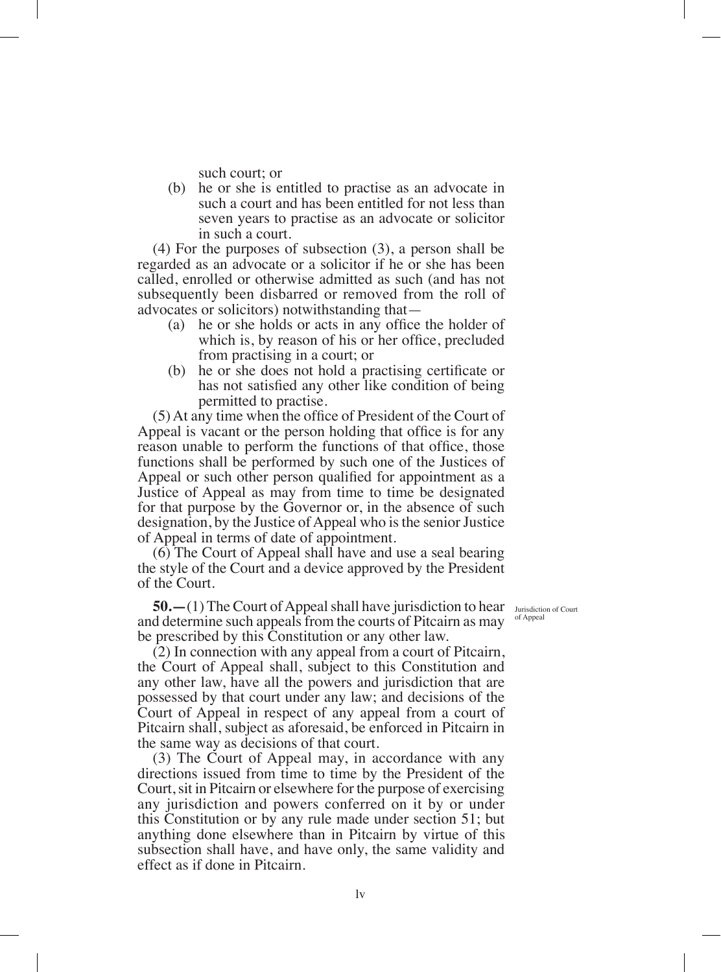such court; or

(b) he or she is entitled to practise as an advocate in such a court and has been entitled for not less than seven years to practise as an advocate or solicitor in such a court.

(4) For the purposes of subsection (3), a person shall be regarded as an advocate or a solicitor if he or she has been called, enrolled or otherwise admitted as such (and has not subsequently been disbarred or removed from the roll of advocates or solicitors) notwithstanding that—

- (a) he or she holds or acts in any office the holder of which is, by reason of his or her office, precluded from practising in a court; or
- (b) he or she does not hold a practising certifcate or has not satisfed any other like condition of being permitted to practise.

(5) At any time when the offce of President of the Court of Appeal is vacant or the person holding that office is for any reason unable to perform the functions of that office, those functions shall be performed by such one of the Justices of Appeal or such other person qualifed for appointment as a Justice of Appeal as may from time to time be designated for that purpose by the Governor or, in the absence of such designation, by the Justice of Appeal who is the senior Justice of Appeal in terms of date of appointment.

(6) The Court of Appeal shall have and use a seal bearing the style of the Court and a device approved by the President of the Court.

**50.**  $-(1)$  The Court of Appeal shall have jurisdiction to hear Jurisdiction of Court and determine such appeals from the courts of Pitcairn as may be prescribed by this Constitution or any other law.

(2) In connection with any appeal from a court of Pitcairn, the Court of Appeal shall, subject to this Constitution and any other law, have all the powers and jurisdiction that are possessed by that court under any law; and decisions of the Court of Appeal in respect of any appeal from a court of Pitcairn shall, subject as aforesaid, be enforced in Pitcairn in the same way as decisions of that court.

(3) The Court of Appeal may, in accordance with any directions issued from time to time by the President of the Court, sit in Pitcairn or elsewhere for the purpose of exercising any jurisdiction and powers conferred on it by or under this Constitution or by any rule made under section 51; but anything done elsewhere than in Pitcairn by virtue of this subsection shall have, and have only, the same validity and effect as if done in Pitcairn.

of Appeal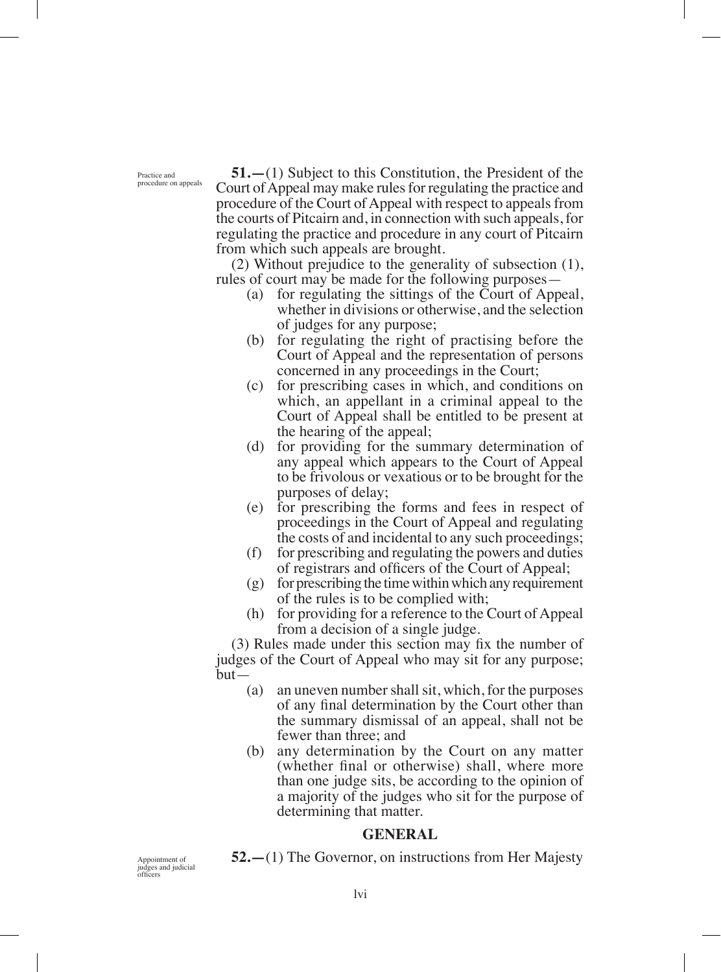Practice and procedure on appeals

**51.—**(1) Subject to this Constitution, the President of the Court of Appeal may make rules for regulating the practice and procedure of the Court of Appeal with respect to appeals from the courts of Pitcairn and, in connection with such appeals, for regulating the practice and procedure in any court of Pitcairn from which such appeals are brought.

(2) Without prejudice to the generality of subsection (1), rules of court may be made for the following purposes—

- (a) for regulating the sittings of the Court of Appeal, whether in divisions or otherwise, and the selection of judges for any purpose;
- (b) for regulating the right of practising before the Court of Appeal and the representation of persons concerned in any proceedings in the Court;
- (c) for prescribing cases in which, and conditions on which, an appellant in a criminal appeal to the Court of Appeal shall be entitled to be present at the hearing of the appeal;
- (d) for providing for the summary determination of any appeal which appears to the Court of Appeal to be frivolous or vexatious or to be brought for the purposes of delay;
- (e) for prescribing the forms and fees in respect of proceedings in the Court of Appeal and regulating the costs of and incidental to any such proceedings;
- (f) for prescribing and regulating the powers and duties of registrars and offcers of the Court of Appeal;
- $(g)$  for prescribing the time within which any requirement of the rules is to be complied with;
- (h) for providing for a reference to the Court of Appeal from a decision of a single judge.

(3) Rules made under this section may fx the number of judges of the Court of Appeal who may sit for any purpose; but—

- (a) an uneven number shall sit, which, for the purposes of any fnal determination by the Court other than the summary dismissal of an appeal, shall not be fewer than three; and
- (b) any determination by the Court on any matter (whether fnal or otherwise) shall, where more than one judge sits, be according to the opinion of a majority of the judges who sit for the purpose of determining that matter.

## **GENERAL**

Appointment of judges and judicial **officers** 

**52.—**(1) The Governor, on instructions from Her Majesty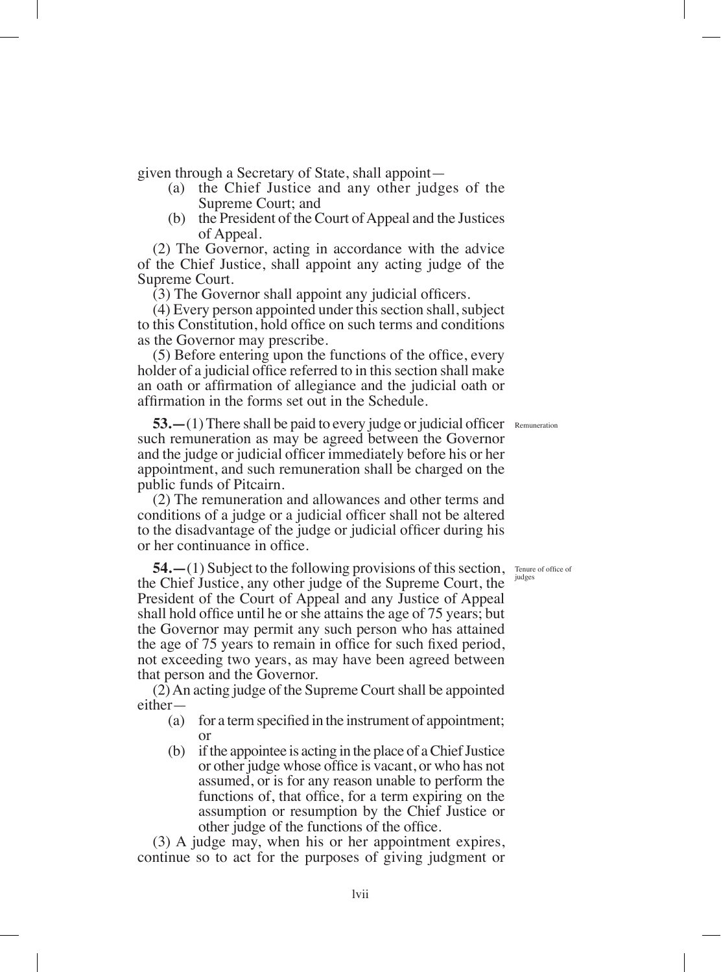given through a Secretary of State, shall appoint—

- (a) the Chief Justice and any other judges of the Supreme Court; and
- (b) the President of the Court of Appeal and the Justices of Appeal.

(2) The Governor, acting in accordance with the advice of the Chief Justice, shall appoint any acting judge of the Supreme Court.

(3) The Governor shall appoint any judicial offcers.

(4) Every person appointed under this section shall, subject to this Constitution, hold offce on such terms and conditions as the Governor may prescribe.

(5) Before entering upon the functions of the office, every holder of a judicial office referred to in this section shall make an oath or affrmation of allegiance and the judicial oath or affrmation in the forms set out in the Schedule.

**53.**  $-(1)$  There shall be paid to every judge or judicial officer Remuneration such remuneration as may be agreed between the Governor and the judge or judicial offcer immediately before his or her appointment, and such remuneration shall be charged on the public funds of Pitcairn.

(2) The remuneration and allowances and other terms and conditions of a judge or a judicial offcer shall not be altered to the disadvantage of the judge or judicial offcer during his or her continuance in office.

**54.**—(1) Subject to the following provisions of this section, Tenure of office of the Chief Justice, any other judge of the Supreme Court, the President of the Court of Appeal and any Justice of Appeal shall hold offce until he or she attains the age of 75 years; but the Governor may permit any such person who has attained the age of 75 years to remain in offce for such fxed period, not exceeding two years, as may have been agreed between that person and the Governor.

(2) An acting judge of the Supreme Court shall be appointed either—

- (a) for a term specifed in the instrument of appointment; or
- (b) if the appointee is acting in the place of a Chief Justice or other judge whose offce is vacant, or who has not assumed, or is for any reason unable to perform the functions of, that office, for a term expiring on the assumption or resumption by the Chief Justice or other judge of the functions of the office.

(3) A judge may, when his or her appointment expires, continue so to act for the purposes of giving judgment or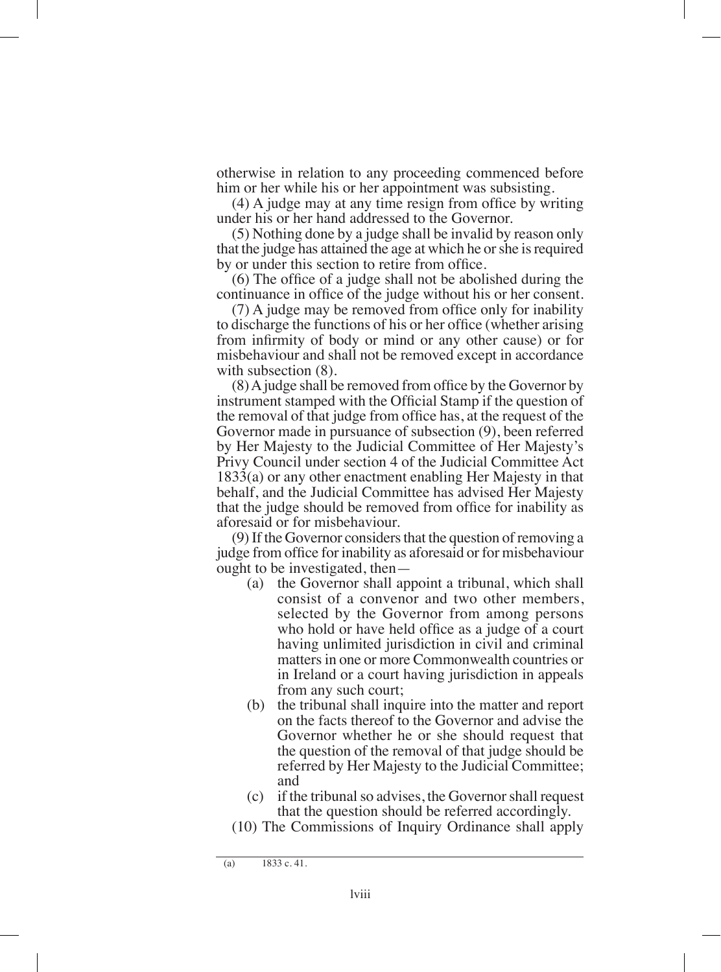otherwise in relation to any proceeding commenced before him or her while his or her appointment was subsisting.

(4) A judge may at any time resign from offce by writing under his or her hand addressed to the Governor.

(5) Nothing done by a judge shall be invalid by reason only that the judge has attained the age at which he or she is required by or under this section to retire from office.

(6) The offce of a judge shall not be abolished during the continuance in office of the judge without his or her consent.

(7) A judge may be removed from offce only for inability to discharge the functions of his or her offce (whether arising from infrmity of body or mind or any other cause) or for misbehaviour and shall not be removed except in accordance with subsection (8).

(8) A judge shall be removed from offce by the Governor by instrument stamped with the Official Stamp if the question of the removal of that judge from offce has, at the request of the Governor made in pursuance of subsection (9), been referred by Her Majesty to the Judicial Committee of Her Majesty's Privy Council under section 4 of the Judicial Committee Act 1833(a) or any other enactment enabling Her Majesty in that behalf, and the Judicial Committee has advised Her Majesty that the judge should be removed from offce for inability as aforesaid or for misbehaviour.

(9) If the Governor considers that the question of removing a judge from offce for inability as aforesaid or for misbehaviour ought to be investigated, then—

- (a) the Governor shall appoint a tribunal, which shall consist of a convenor and two other members, selected by the Governor from among persons who hold or have held office as a judge of a court having unlimited jurisdiction in civil and criminal matters in one or more Commonwealth countries or in Ireland or a court having jurisdiction in appeals from any such court;
- (b) the tribunal shall inquire into the matter and report on the facts thereof to the Governor and advise the Governor whether he or she should request that the question of the removal of that judge should be referred by Her Majesty to the Judicial Committee; and
- (c) if the tribunal so advises, the Governor shall request that the question should be referred accordingly.
- (10) The Commissions of Inquiry Ordinance shall apply

<sup>(</sup>a) 1833 c. 41.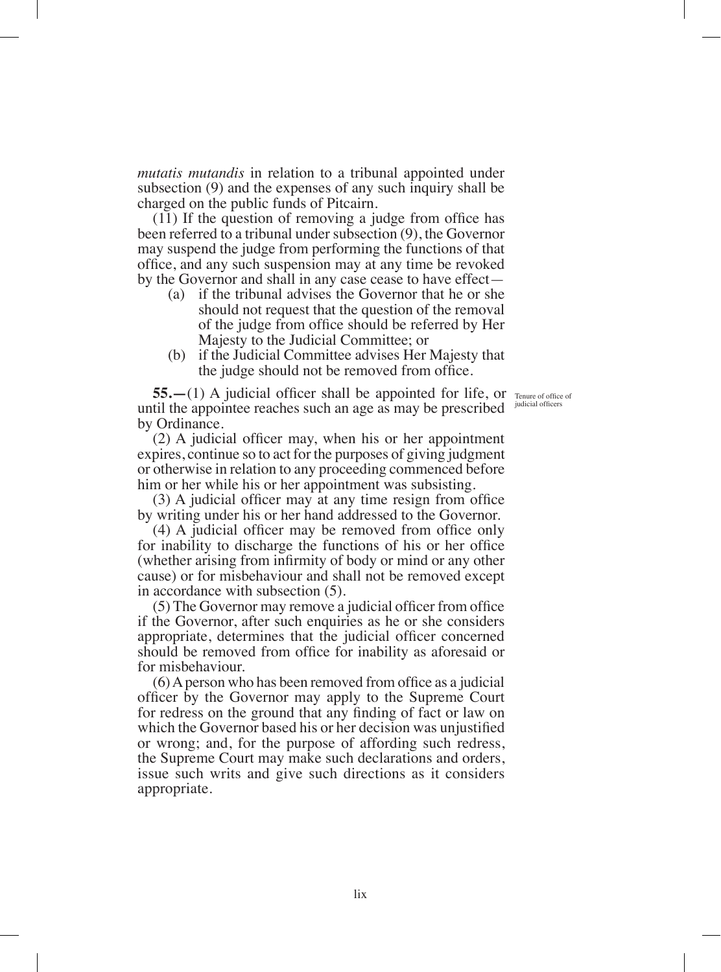*mutatis mutandis* in relation to a tribunal appointed under subsection (9) and the expenses of any such inquiry shall be charged on the public funds of Pitcairn.

 $(11)$  If the question of removing a judge from office has been referred to a tribunal under subsection (9), the Governor may suspend the judge from performing the functions of that offce, and any such suspension may at any time be revoked by the Governor and shall in any case cease to have effect—

- (a) if the tribunal advises the Governor that he or she should not request that the question of the removal of the judge from offce should be referred by Her Majesty to the Judicial Committee; or
- (b) if the Judicial Committee advises Her Majesty that the judge should not be removed from office.

**55.**—(1) A judicial officer shall be appointed for life, or Tenure of office of until the appointee reaches such an age as may be prescribed by Ordinance.

(2) A judicial offcer may, when his or her appointment expires, continue so to act for the purposes of giving judgment or otherwise in relation to any proceeding commenced before him or her while his or her appointment was subsisting.

 $(3)$  A judicial officer may at any time resign from office by writing under his or her hand addressed to the Governor.

(4) A judicial offcer may be removed from offce only for inability to discharge the functions of his or her office (whether arising from infrmity of body or mind or any other cause) or for misbehaviour and shall not be removed except in accordance with subsection (5).

(5) The Governor may remove a judicial offcer from offce if the Governor, after such enquiries as he or she considers appropriate, determines that the judicial offcer concerned should be removed from office for inability as aforesaid or for misbehaviour.

(6) A person who has been removed from offce as a judicial offcer by the Governor may apply to the Supreme Court for redress on the ground that any fnding of fact or law on which the Governor based his or her decision was unjustifed or wrong; and, for the purpose of affording such redress, the Supreme Court may make such declarations and orders, issue such writs and give such directions as it considers appropriate.

judicial officers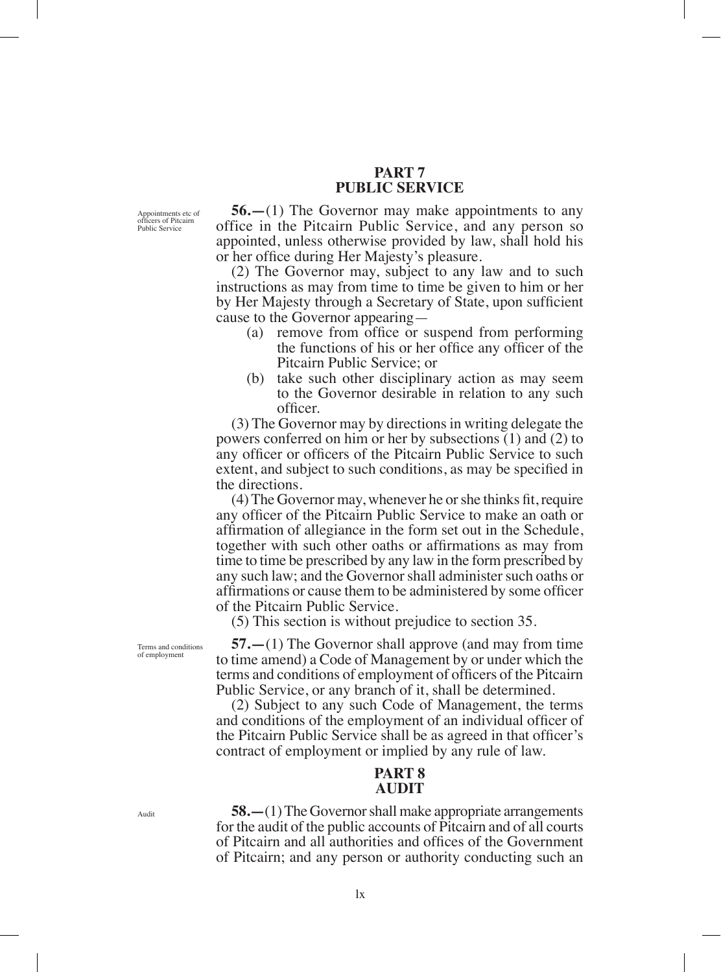# **PART 7 PUBLIC SERVICE**

Appointments etc of offcers of Pitcairn Public Service

**56.—**(1) The Governor may make appointments to any office in the Pitcairn Public Service, and any person so appointed, unless otherwise provided by law, shall hold his or her offce during Her Majesty's pleasure.

(2) The Governor may, subject to any law and to such instructions as may from time to time be given to him or her by Her Majesty through a Secretary of State, upon sufficient cause to the Governor appearing—

- (a) remove from office or suspend from performing the functions of his or her office any officer of the Pitcairn Public Service; or
- (b) take such other disciplinary action as may seem to the Governor desirable in relation to any such officer.

(3) The Governor may by directions in writing delegate the powers conferred on him or her by subsections (1) and (2) to any officer or officers of the Pitcairn Public Service to such extent, and subject to such conditions, as may be specifed in the directions.

(4) The Governor may, whenever he or she thinks ft, require any offcer of the Pitcairn Public Service to make an oath or affrmation of allegiance in the form set out in the Schedule, together with such other oaths or affrmations as may from time to time be prescribed by any law in the form prescribed by any such law; and the Governor shall administer such oaths or affrmations or cause them to be administered by some offcer of the Pitcairn Public Service.

(5) This section is without prejudice to section 35.

**57.—**(1) The Governor shall approve (and may from time to time amend) a Code of Management by or under which the terms and conditions of employment of offcers of the Pitcairn Public Service, or any branch of it, shall be determined.

(2) Subject to any such Code of Management, the terms and conditions of the employment of an individual officer of the Pitcairn Public Service shall be as agreed in that officer's contract of employment or implied by any rule of law.

## **PART 8 AUDIT**

**58.—**(1) The Governor shall make appropriate arrangements for the audit of the public accounts of Pitcairn and of all courts of Pitcairn and all authorities and offces of the Government of Pitcairn; and any person or authority conducting such an

Terms and conditions of employment

Audit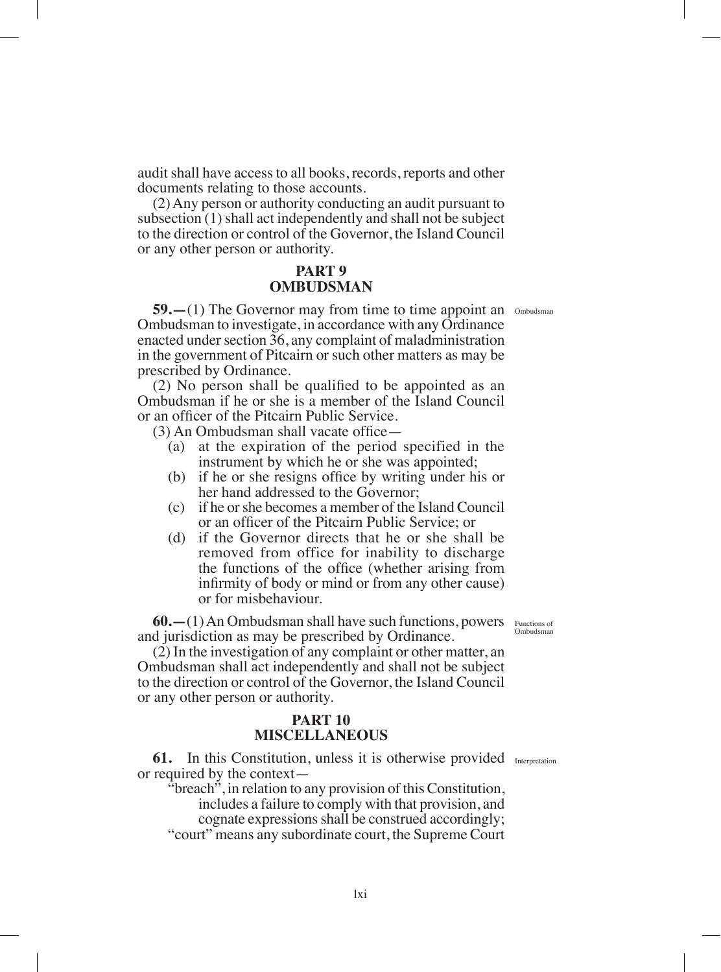audit shall have access to all books, records, reports and other documents relating to those accounts.

(2) Any person or authority conducting an audit pursuant to subsection (1) shall act independently and shall not be subject to the direction or control of the Governor, the Island Council or any other person or authority.

## **PART 9 OMBUDSMAN**

**59.**—(1) The Governor may from time to time appoint an ombudsman Ombudsman to investigate, in accordance with any Ordinance enacted under section 36, any complaint of maladministration in the government of Pitcairn or such other matters as may be prescribed by Ordinance.

(2) No person shall be qualifed to be appointed as an Ombudsman if he or she is a member of the Island Council or an offcer of the Pitcairn Public Service.

 $(3)$  An Ombudsman shall vacate office—

- (a) at the expiration of the period specified in the instrument by which he or she was appointed;
- (b) if he or she resigns offce by writing under his or her hand addressed to the Governor;
- (c) if he or she becomes a member of the Island Council or an offcer of the Pitcairn Public Service; or
- (d) if the Governor directs that he or she shall be removed from office for inability to discharge the functions of the offce (whether arising from infrmity of body or mind or from any other cause) or for misbehaviour.

**60.**—(1) An Ombudsman shall have such functions, powers Functions of and jurisdiction as may be prescribed by Ordinance.

(2) In the investigation of any complaint or other matter, an Ombudsman shall act independently and shall not be subject to the direction or control of the Governor, the Island Council or any other person or authority.

## **PART 10 MISCELLANEOUS**

**61.** In this Constitution, unless it is otherwise provided Interpretation or required by the context—

"breach", in relation to any provision of this Constitution, includes a failure to comply with that provision, and cognate expressions shall be construed accordingly; "court" means any subordinate court, the Supreme Court

Ombudsman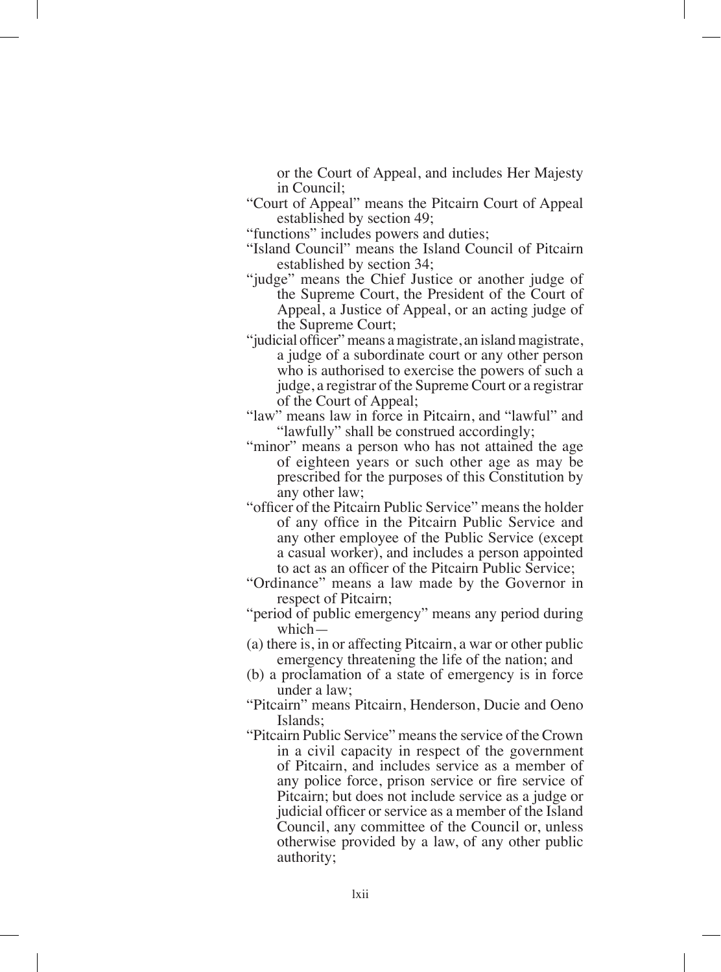or the Court of Appeal, and includes Her Majesty in Council;

- "Court of Appeal" means the Pitcairn Court of Appeal established by section 49;
- "functions" includes powers and duties;
- "Island Council" means the Island Council of Pitcairn established by section 34;
- "judge" means the Chief Justice or another judge of the Supreme Court, the President of the Court of Appeal, a Justice of Appeal, or an acting judge of the Supreme Court;
- "judicial officer" means a magistrate, an island magistrate, a judge of a subordinate court or any other person who is authorised to exercise the powers of such a judge, a registrar of the Supreme Court or a registrar of the Court of Appeal;
- "law" means law in force in Pitcairn, and "lawful" and "lawfully" shall be construed accordingly;
- "minor" means a person who has not attained the age of eighteen years or such other age as may be prescribed for the purposes of this Constitution by any other law;
- "officer of the Pitcairn Public Service" means the holder of any offce in the Pitcairn Public Service and any other employee of the Public Service (except a casual worker), and includes a person appointed to act as an offcer of the Pitcairn Public Service;
- "Ordinance" means a law made by the Governor in respect of Pitcairn;
- "period of public emergency" means any period during which—
- (a) there is, in or affecting Pitcairn, a war or other public emergency threatening the life of the nation; and
- (b) a proclamation of a state of emergency is in force under a law;
- "Pitcairn" means Pitcairn, Henderson, Ducie and Oeno Islands;
- "Pitcairn Public Service" means the service of the Crown in a civil capacity in respect of the government of Pitcairn, and includes service as a member of any police force, prison service or fre service of Pitcairn; but does not include service as a judge or judicial offcer or service as a member of the Island Council, any committee of the Council or, unless otherwise provided by a law, of any other public authority;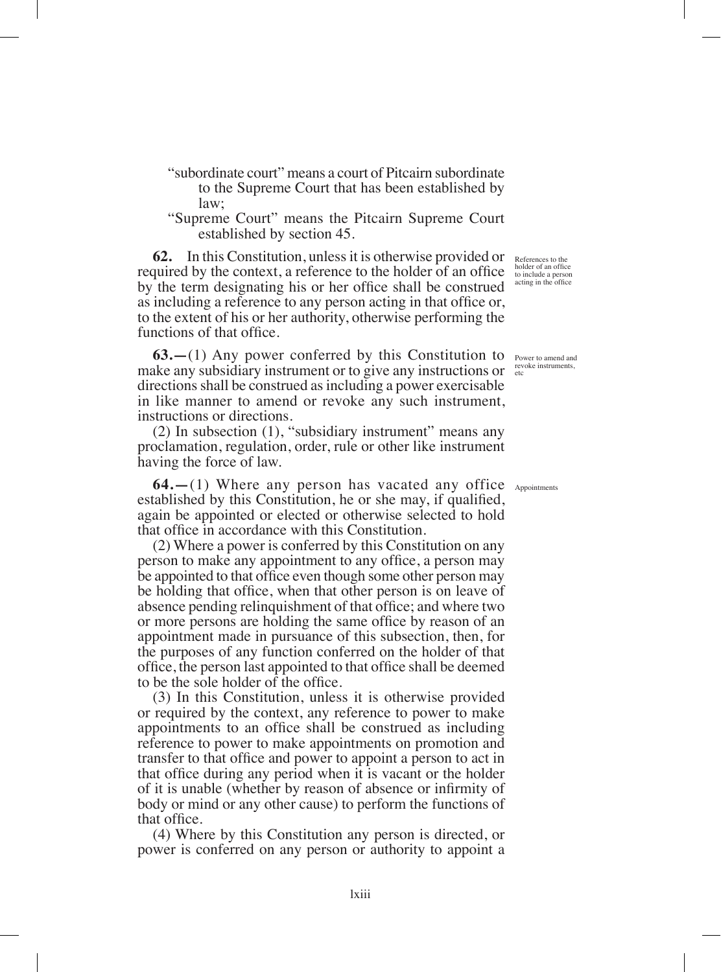- "subordinate court" means a court of Pitcairn subordinate to the Supreme Court that has been established by law;
- "Supreme Court" means the Pitcairn Supreme Court established by section 45.

**62.** In this Constitution, unless it is otherwise provided or required by the context, a reference to the holder of an office by the term designating his or her offce shall be construed as including a reference to any person acting in that office or, to the extent of his or her authority, otherwise performing the functions of that office.

**63.—**(1) Any power conferred by this Constitution to make any subsidiary instrument or to give any instructions or  $\frac{rev}{etc}$ directions shall be construed as including a power exercisable in like manner to amend or revoke any such instrument, instructions or directions.

(2) In subsection (1), "subsidiary instrument" means any proclamation, regulation, order, rule or other like instrument having the force of law.

**64.** - (1) Where any person has vacated any office Appointments established by this Constitution, he or she may, if qualifed, again be appointed or elected or otherwise selected to hold that offce in accordance with this Constitution.

(2) Where a power is conferred by this Constitution on any person to make any appointment to any offce, a person may be appointed to that office even though some other person may be holding that office, when that other person is on leave of absence pending relinquishment of that office; and where two or more persons are holding the same office by reason of an appointment made in pursuance of this subsection, then, for the purposes of any function conferred on the holder of that offce, the person last appointed to that offce shall be deemed to be the sole holder of the office.

(3) In this Constitution, unless it is otherwise provided or required by the context, any reference to power to make appointments to an offce shall be construed as including reference to power to make appointments on promotion and transfer to that offce and power to appoint a person to act in that offce during any period when it is vacant or the holder of it is unable (whether by reason of absence or infrmity of body or mind or any other cause) to perform the functions of that office.

(4) Where by this Constitution any person is directed, or power is conferred on any person or authority to appoint a

References to the holder of an office to include a person acting in the offce

Power to amend and revoke instruments,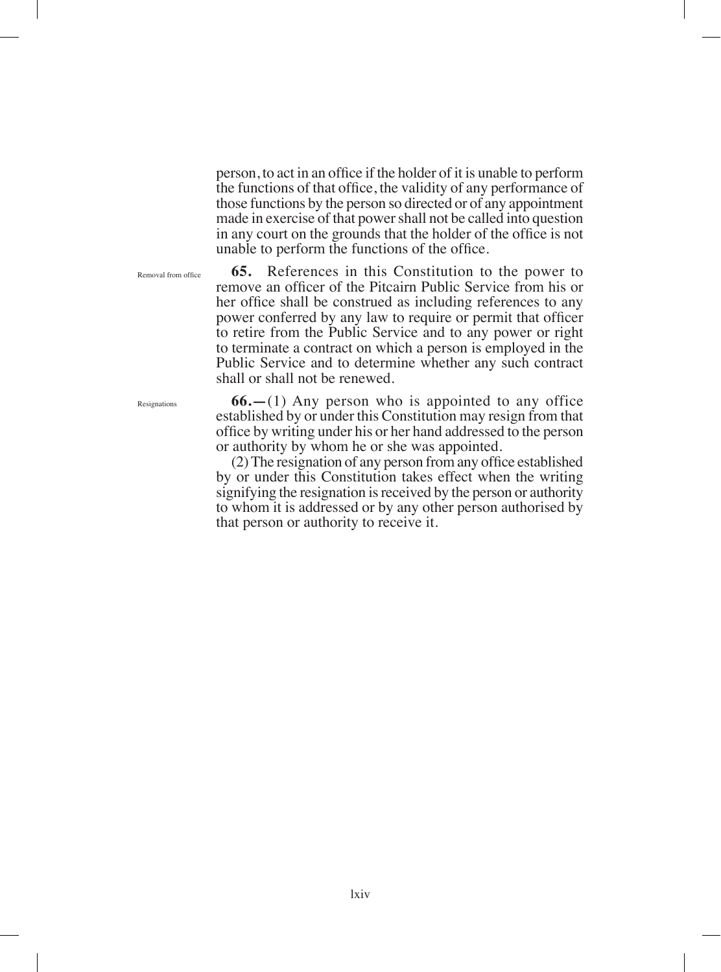person, to act in an offce if the holder of it is unable to perform the functions of that office, the validity of any performance of those functions by the person so directed or of any appointment made in exercise of that power shall not be called into question in any court on the grounds that the holder of the office is not unable to perform the functions of the office.

Removal from office

**65.** References in this Constitution to the power to remove an officer of the Pitcairn Public Service from his or her office shall be construed as including references to any power conferred by any law to require or permit that officer to retire from the Public Service and to any power or right to terminate a contract on which a person is employed in the Public Service and to determine whether any such contract shall or shall not be renewed.

Resignations

**66.—**(1) Any person who is appointed to any office established by or under this Constitution may resign from that offce by writing under his or her hand addressed to the person or authority by whom he or she was appointed.

(2) The resignation of any person from any office established by or under this Constitution takes effect when the writing signifying the resignation is received by the person or authority to whom it is addressed or by any other person authorised by that person or authority to receive it.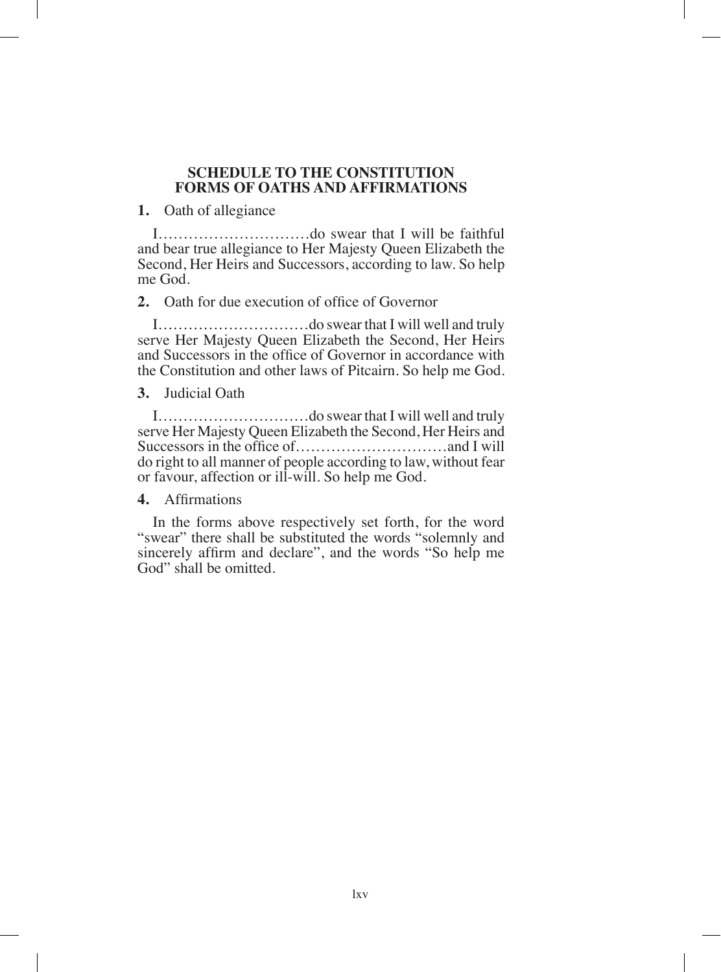## **SCHEDULE TO THE CONSTITUTION FORMS OF OATHS AND AFFIRMATIONS**

**1.** Oath of allegiance

I…………………………do swear that I will be faithful and bear true allegiance to Her Majesty Queen Elizabeth the Second, Her Heirs and Successors, according to law. So help me God.

**2.** Oath for due execution of office of Governor

I…………………………do swear that I will well and truly serve Her Majesty Queen Elizabeth the Second, Her Heirs and Successors in the office of Governor in accordance with the Constitution and other laws of Pitcairn. So help me God.

**3.** Judicial Oath

I…………………………do swear that I will well and truly serve Her Majesty Queen Elizabeth the Second, Her Heirs and Successors in the offce of…………………………and I will do right to all manner of people according to law, without fear or favour, affection or ill-will. So help me God.

**4.** Affrmations

In the forms above respectively set forth, for the word "swear" there shall be substituted the words "solemnly and sincerely affrm and declare", and the words "So help me God" shall be omitted.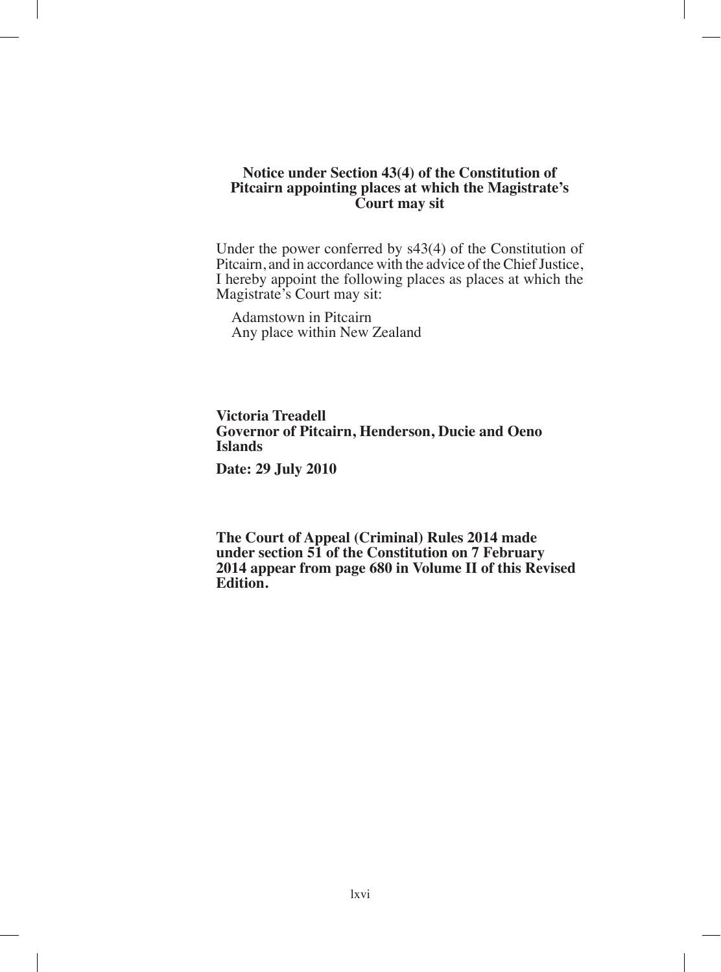# **Notice under Section 43(4) of the Constitution of Pitcairn appointing places at which the Magistrate's Court may sit**

Under the power conferred by s43(4) of the Constitution of Pitcairn, and in accordance with the advice of the Chief Justice, I hereby appoint the following places as places at which the Magistrate's Court may sit:

Adamstown in Pitcairn Any place within New Zealand

**Victoria Treadell Governor of Pitcairn, Henderson, Ducie and Oeno Islands**

**Date: 29 July 2010**

**The Court of Appeal (Criminal) Rules 2014 made under section 51 of the Constitution on 7 February 2014 appear from page 680 in Volume II of this Revised Edition.**